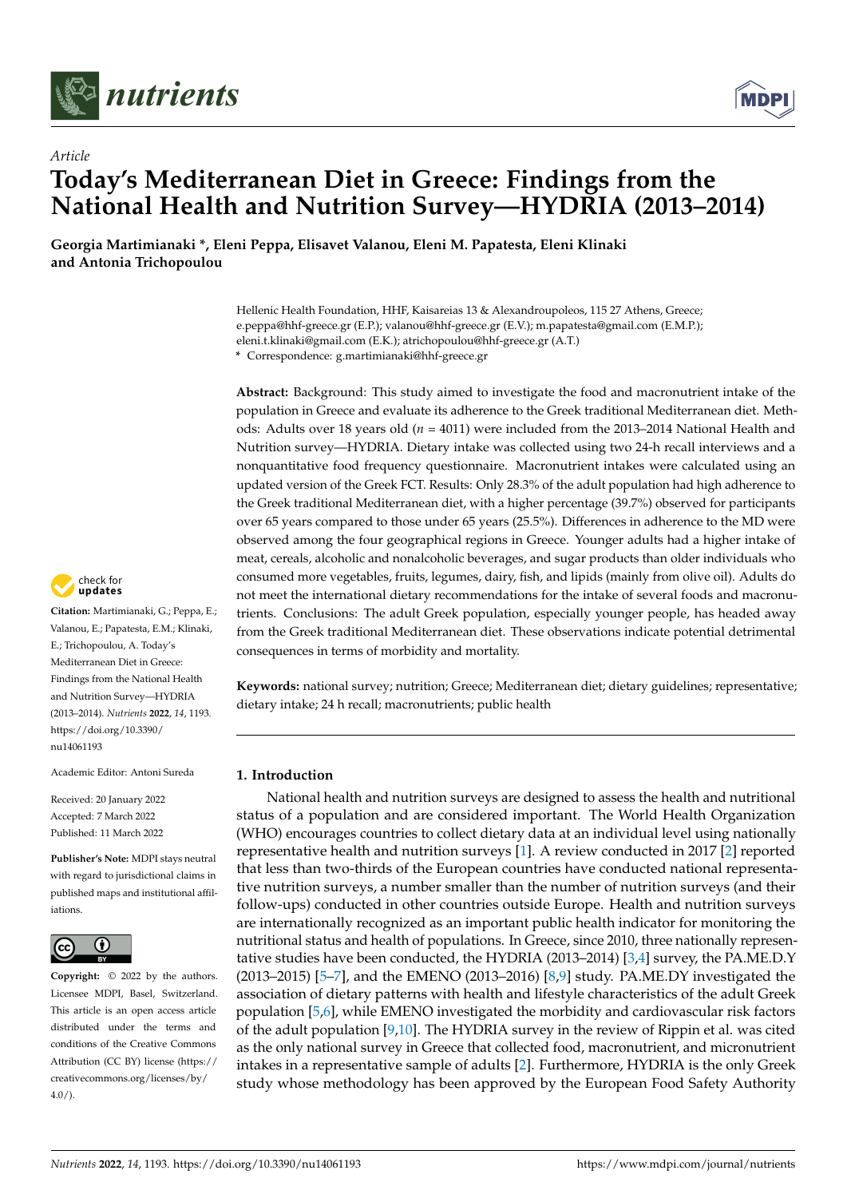

*Article*



# **Today's Mediterranean Diet in Greece: Findings from the National Health and Nutrition Survey—HYDRIA (2013–2014)**

**Georgia Martimianaki \*, Eleni Peppa, Elisavet Valanou, Eleni M. Papatesta, Eleni Klinaki and Antonia Trichopoulou**

> Hellenic Health Foundation, HHF, Kaisareias 13 & Alexandroupoleos, 115 27 Athens, Greece; e.peppa@hhf-greece.gr (E.P.); valanou@hhf-greece.gr (E.V.); m.papatesta@gmail.com (E.M.P.); eleni.t.klinaki@gmail.com (E.K.); atrichopoulou@hhf-greece.gr (A.T.) **\*** Correspondence: g.martimianaki@hhf-greece.gr

**Abstract:** Background: This study aimed to investigate the food and macronutrient intake of the population in Greece and evaluate its adherence to the Greek traditional Mediterranean diet. Methods: Adults over 18 years old (*n* = 4011) were included from the 2013–2014 National Health and Nutrition survey—HYDRIA. Dietary intake was collected using two 24-h recall interviews and a nonquantitative food frequency questionnaire. Macronutrient intakes were calculated using an updated version of the Greek FCT. Results: Only 28.3% of the adult population had high adherence to the Greek traditional Mediterranean diet, with a higher percentage (39.7%) observed for participants over 65 years compared to those under 65 years (25.5%). Differences in adherence to the MD were observed among the four geographical regions in Greece. Younger adults had a higher intake of meat, cereals, alcoholic and nonalcoholic beverages, and sugar products than older individuals who consumed more vegetables, fruits, legumes, dairy, fish, and lipids (mainly from olive oil). Adults do not meet the international dietary recommendations for the intake of several foods and macronutrients. Conclusions: The adult Greek population, especially younger people, has headed away from the Greek traditional Mediterranean diet. These observations indicate potential detrimental consequences in terms of morbidity and mortality.

**Keywords:** national survey; nutrition; Greece; Mediterranean diet; dietary guidelines; representative; dietary intake; 24 h recall; macronutrients; public health

# **1. Introduction**

National health and nutrition surveys are designed to assess the health and nutritional status of a population and are considered important. The World Health Organization (WHO) encourages countries to collect dietary data at an individual level using nationally representative health and nutrition surveys [\[1\]](#page-12-0). A review conducted in 2017 [\[2\]](#page-12-1) reported that less than two-thirds of the European countries have conducted national representative nutrition surveys, a number smaller than the number of nutrition surveys (and their follow-ups) conducted in other countries outside Europe. Health and nutrition surveys are internationally recognized as an important public health indicator for monitoring the nutritional status and health of populations. In Greece, since 2010, three nationally representative studies have been conducted, the HYDRIA (2013–2014) [\[3](#page-12-2)[,4\]](#page-12-3) survey, the PA.ME.D.Y (2013–2015) [\[5–](#page-12-4)[7\]](#page-12-5), and the EMENO (2013–2016) [\[8,](#page-12-6)[9\]](#page-12-7) study. PA.ME.DY investigated the association of dietary patterns with health and lifestyle characteristics of the adult Greek population [\[5](#page-12-4)[,6\]](#page-12-8), while EMENO investigated the morbidity and cardiovascular risk factors of the adult population [\[9,](#page-12-7)[10\]](#page-12-9). The HYDRIA survey in the review of Rippin et al. was cited as the only national survey in Greece that collected food, macronutrient, and micronutrient intakes in a representative sample of adults [\[2\]](#page-12-1). Furthermore, HYDRIA is the only Greek study whose methodology has been approved by the European Food Safety Authority



**Citation:** Martimianaki, G.; Peppa, E.; Valanou, E.; Papatesta, E.M.; Klinaki, E.; Trichopoulou, A. Today's Mediterranean Diet in Greece: Findings from the National Health and Nutrition Survey—HYDRIA (2013–2014). *Nutrients* **2022**, *14*, 1193. [https://doi.org/10.3390/](https://doi.org/10.3390/nu14061193) [nu14061193](https://doi.org/10.3390/nu14061193)

Academic Editor: Antoni Sureda

Received: 20 January 2022 Accepted: 7 March 2022 Published: 11 March 2022

**Publisher's Note:** MDPI stays neutral with regard to jurisdictional claims in published maps and institutional affiliations.



**Copyright:** © 2022 by the authors. Licensee MDPI, Basel, Switzerland. This article is an open access article distributed under the terms and conditions of the Creative Commons Attribution (CC BY) license [\(https://](https://creativecommons.org/licenses/by/4.0/) [creativecommons.org/licenses/by/](https://creativecommons.org/licenses/by/4.0/)  $4.0/$ ).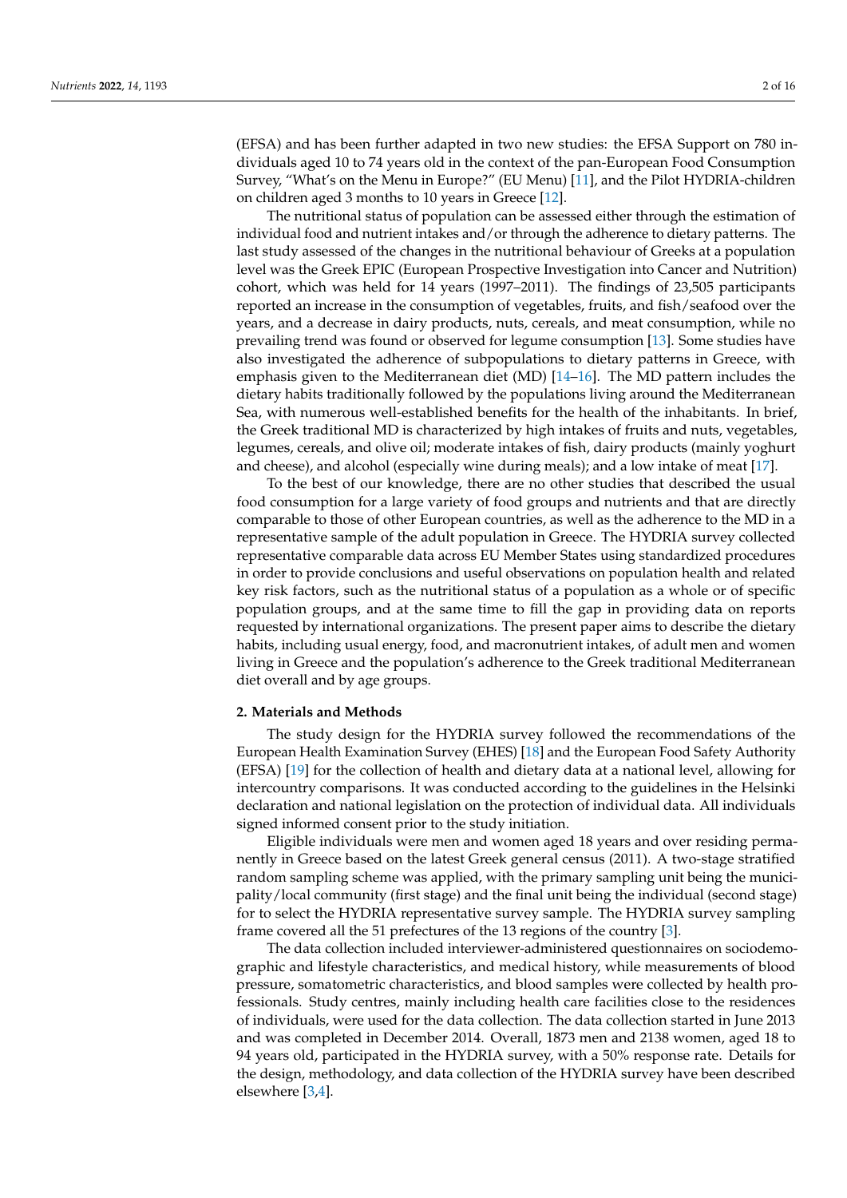(EFSA) and has been further adapted in two new studies: the EFSA Support on 780 individuals aged 10 to 74 years old in the context of the pan-European Food Consumption Survey, "What's on the Menu in Europe?" (EU Menu) [\[11\]](#page-13-0), and the Pilot HYDRIA-children on children aged 3 months to 10 years in Greece [\[12\]](#page-13-1).

The nutritional status of population can be assessed either through the estimation of individual food and nutrient intakes and/or through the adherence to dietary patterns. The last study assessed of the changes in the nutritional behaviour of Greeks at a population level was the Greek EPIC (European Prospective Investigation into Cancer and Nutrition) cohort, which was held for 14 years (1997–2011). The findings of 23,505 participants reported an increase in the consumption of vegetables, fruits, and fish/seafood over the years, and a decrease in dairy products, nuts, cereals, and meat consumption, while no prevailing trend was found or observed for legume consumption [\[13\]](#page-13-2). Some studies have also investigated the adherence of subpopulations to dietary patterns in Greece, with emphasis given to the Mediterranean diet (MD) [\[14](#page-13-3)[–16\]](#page-13-4). The MD pattern includes the dietary habits traditionally followed by the populations living around the Mediterranean Sea, with numerous well-established benefits for the health of the inhabitants. In brief, the Greek traditional MD is characterized by high intakes of fruits and nuts, vegetables, legumes, cereals, and olive oil; moderate intakes of fish, dairy products (mainly yoghurt and cheese), and alcohol (especially wine during meals); and a low intake of meat [\[17\]](#page-13-5).

To the best of our knowledge, there are no other studies that described the usual food consumption for a large variety of food groups and nutrients and that are directly comparable to those of other European countries, as well as the adherence to the MD in a representative sample of the adult population in Greece. The HYDRIA survey collected representative comparable data across EU Member States using standardized procedures in order to provide conclusions and useful observations on population health and related key risk factors, such as the nutritional status of a population as a whole or of specific population groups, and at the same time to fill the gap in providing data on reports requested by international organizations. The present paper aims to describe the dietary habits, including usual energy, food, and macronutrient intakes, of adult men and women living in Greece and the population's adherence to the Greek traditional Mediterranean diet overall and by age groups.

# **2. Materials and Methods**

The study design for the HYDRIA survey followed the recommendations of the European Health Examination Survey (EHES) [\[18\]](#page-13-6) and the European Food Safety Authority (EFSA) [\[19\]](#page-13-7) for the collection of health and dietary data at a national level, allowing for intercountry comparisons. It was conducted according to the guidelines in the Helsinki declaration and national legislation on the protection of individual data. All individuals signed informed consent prior to the study initiation.

Eligible individuals were men and women aged 18 years and over residing permanently in Greece based on the latest Greek general census (2011). A two-stage stratified random sampling scheme was applied, with the primary sampling unit being the municipality/local community (first stage) and the final unit being the individual (second stage) for to select the HYDRIA representative survey sample. The HYDRIA survey sampling frame covered all the 51 prefectures of the 13 regions of the country [\[3\]](#page-12-2).

The data collection included interviewer-administered questionnaires on sociodemographic and lifestyle characteristics, and medical history, while measurements of blood pressure, somatometric characteristics, and blood samples were collected by health professionals. Study centres, mainly including health care facilities close to the residences of individuals, were used for the data collection. The data collection started in June 2013 and was completed in December 2014. Overall, 1873 men and 2138 women, aged 18 to 94 years old, participated in the HYDRIA survey, with a 50% response rate. Details for the design, methodology, and data collection of the HYDRIA survey have been described elsewhere [\[3](#page-12-2)[,4\]](#page-12-3).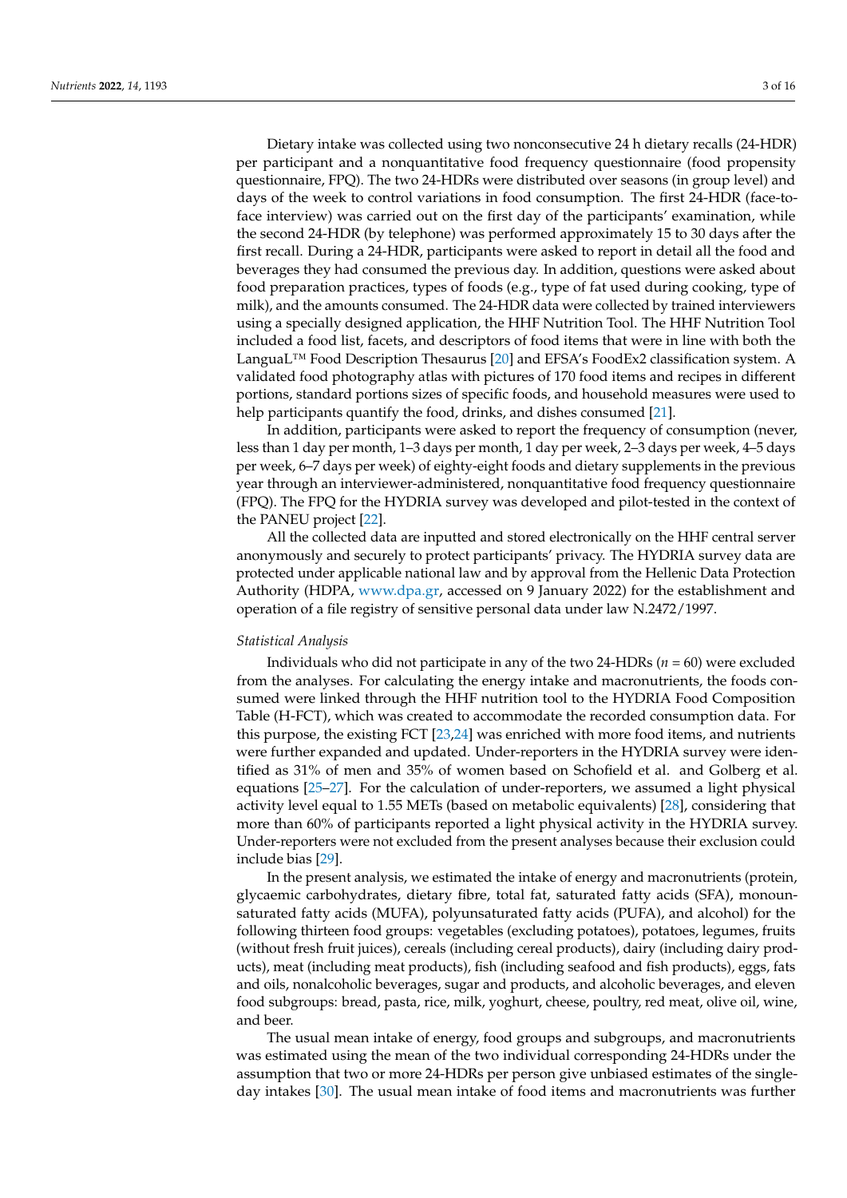Dietary intake was collected using two nonconsecutive 24 h dietary recalls (24-HDR) per participant and a nonquantitative food frequency questionnaire (food propensity questionnaire, FPQ). The two 24-HDRs were distributed over seasons (in group level) and days of the week to control variations in food consumption. The first 24-HDR (face-toface interview) was carried out on the first day of the participants' examination, while the second 24-HDR (by telephone) was performed approximately 15 to 30 days after the first recall. During a 24-HDR, participants were asked to report in detail all the food and beverages they had consumed the previous day. In addition, questions were asked about food preparation practices, types of foods (e.g., type of fat used during cooking, type of milk), and the amounts consumed. The 24-HDR data were collected by trained interviewers using a specially designed application, the HHF Nutrition Tool. The HHF Nutrition Tool included a food list, facets, and descriptors of food items that were in line with both the LanguaL™ Food Description Thesaurus [\[20\]](#page-13-8) and EFSA's FoodEx2 classification system. A validated food photography atlas with pictures of 170 food items and recipes in different portions, standard portions sizes of specific foods, and household measures were used to help participants quantify the food, drinks, and dishes consumed [\[21\]](#page-13-9).

In addition, participants were asked to report the frequency of consumption (never, less than 1 day per month, 1–3 days per month, 1 day per week, 2–3 days per week, 4–5 days per week, 6–7 days per week) of eighty-eight foods and dietary supplements in the previous year through an interviewer-administered, nonquantitative food frequency questionnaire (FPQ). The FPQ for the HYDRIA survey was developed and pilot-tested in the context of the PANEU project [\[22\]](#page-13-10).

All the collected data are inputted and stored electronically on the HHF central server anonymously and securely to protect participants' privacy. The HYDRIA survey data are protected under applicable national law and by approval from the Hellenic Data Protection Authority (HDPA, [www.dpa.gr,](www.dpa.gr) accessed on 9 January 2022) for the establishment and operation of a file registry of sensitive personal data under law N.2472/1997.

## *Statistical Analysis*

Individuals who did not participate in any of the two 24-HDRs (*n* = 60) were excluded from the analyses. For calculating the energy intake and macronutrients, the foods consumed were linked through the HHF nutrition tool to the HYDRIA Food Composition Table (H-FCT), which was created to accommodate the recorded consumption data. For this purpose, the existing FCT [\[23](#page-13-11)[,24\]](#page-13-12) was enriched with more food items, and nutrients were further expanded and updated. Under-reporters in the HYDRIA survey were identified as 31% of men and 35% of women based on Schofield et al. and Golberg et al. equations [\[25–](#page-13-13)[27\]](#page-13-14). For the calculation of under-reporters, we assumed a light physical activity level equal to 1.55 METs (based on metabolic equivalents) [\[28\]](#page-13-15), considering that more than 60% of participants reported a light physical activity in the HYDRIA survey. Under-reporters were not excluded from the present analyses because their exclusion could include bias [\[29\]](#page-13-16).

In the present analysis, we estimated the intake of energy and macronutrients (protein, glycaemic carbohydrates, dietary fibre, total fat, saturated fatty acids (SFA), monounsaturated fatty acids (MUFA), polyunsaturated fatty acids (PUFA), and alcohol) for the following thirteen food groups: vegetables (excluding potatoes), potatoes, legumes, fruits (without fresh fruit juices), cereals (including cereal products), dairy (including dairy products), meat (including meat products), fish (including seafood and fish products), eggs, fats and oils, nonalcoholic beverages, sugar and products, and alcoholic beverages, and eleven food subgroups: bread, pasta, rice, milk, yoghurt, cheese, poultry, red meat, olive oil, wine, and beer.

The usual mean intake of energy, food groups and subgroups, and macronutrients was estimated using the mean of the two individual corresponding 24-HDRs under the assumption that two or more 24-HDRs per person give unbiased estimates of the singleday intakes [\[30\]](#page-13-17). The usual mean intake of food items and macronutrients was further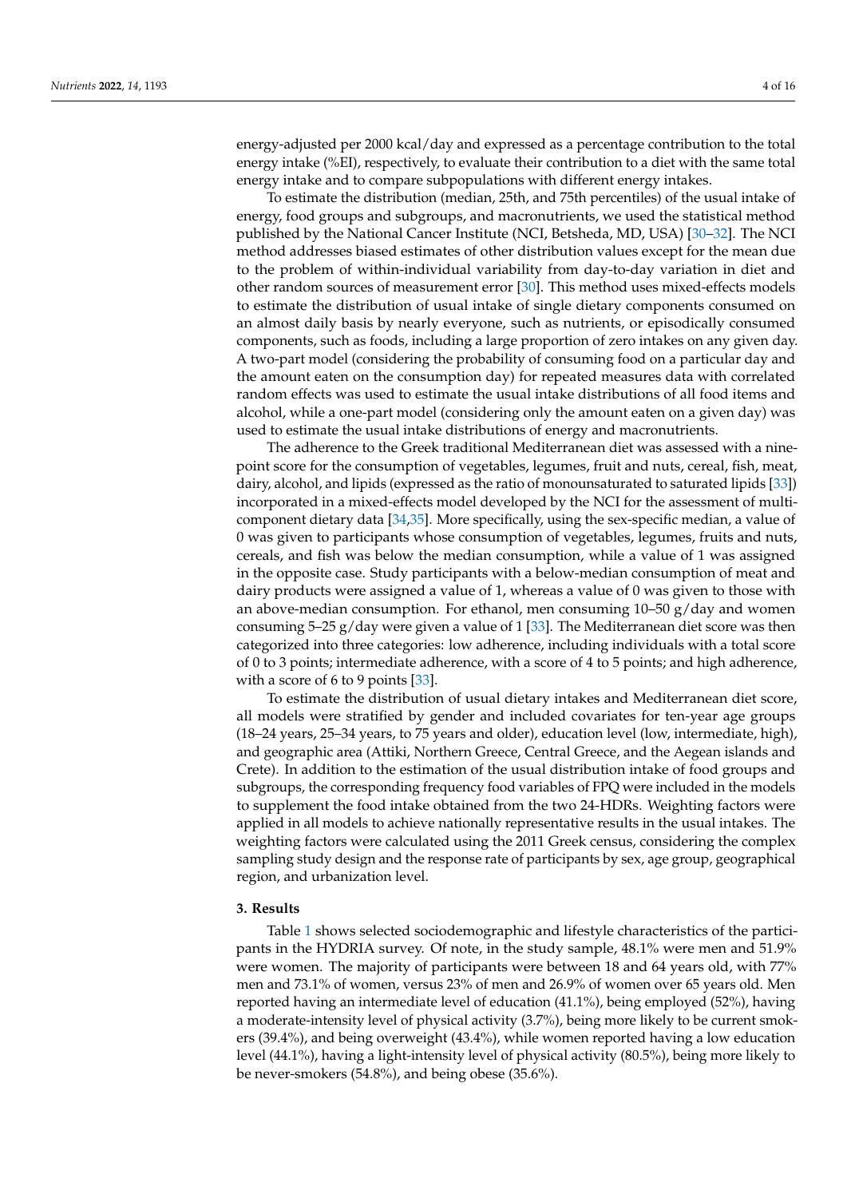energy-adjusted per 2000 kcal/day and expressed as a percentage contribution to the total energy intake (%EI), respectively, to evaluate their contribution to a diet with the same total energy intake and to compare subpopulations with different energy intakes.

To estimate the distribution (median, 25th, and 75th percentiles) of the usual intake of energy, food groups and subgroups, and macronutrients, we used the statistical method published by the National Cancer Institute (NCI, Betsheda, MD, USA) [\[30](#page-13-17)[–32\]](#page-13-18). The NCI method addresses biased estimates of other distribution values except for the mean due to the problem of within-individual variability from day-to-day variation in diet and other random sources of measurement error [\[30\]](#page-13-17). This method uses mixed-effects models to estimate the distribution of usual intake of single dietary components consumed on an almost daily basis by nearly everyone, such as nutrients, or episodically consumed components, such as foods, including a large proportion of zero intakes on any given day. A two-part model (considering the probability of consuming food on a particular day and the amount eaten on the consumption day) for repeated measures data with correlated random effects was used to estimate the usual intake distributions of all food items and alcohol, while a one-part model (considering only the amount eaten on a given day) was used to estimate the usual intake distributions of energy and macronutrients.

The adherence to the Greek traditional Mediterranean diet was assessed with a ninepoint score for the consumption of vegetables, legumes, fruit and nuts, cereal, fish, meat, dairy, alcohol, and lipids (expressed as the ratio of monounsaturated to saturated lipids [\[33\]](#page-13-19)) incorporated in a mixed-effects model developed by the NCI for the assessment of multicomponent dietary data [\[34](#page-13-20)[,35\]](#page-14-0). More specifically, using the sex-specific median, a value of 0 was given to participants whose consumption of vegetables, legumes, fruits and nuts, cereals, and fish was below the median consumption, while a value of 1 was assigned in the opposite case. Study participants with a below-median consumption of meat and dairy products were assigned a value of 1, whereas a value of 0 was given to those with an above-median consumption. For ethanol, men consuming  $10-50$  g/day and women consuming  $5-25$  g/day were given a value of 1 [\[33\]](#page-13-19). The Mediterranean diet score was then categorized into three categories: low adherence, including individuals with a total score of 0 to 3 points; intermediate adherence, with a score of 4 to 5 points; and high adherence, with a score of 6 to 9 points [\[33\]](#page-13-19).

To estimate the distribution of usual dietary intakes and Mediterranean diet score, all models were stratified by gender and included covariates for ten-year age groups (18–24 years, 25–34 years, to 75 years and older), education level (low, intermediate, high), and geographic area (Attiki, Northern Greece, Central Greece, and the Aegean islands and Crete). In addition to the estimation of the usual distribution intake of food groups and subgroups, the corresponding frequency food variables of FPQ were included in the models to supplement the food intake obtained from the two 24-HDRs. Weighting factors were applied in all models to achieve nationally representative results in the usual intakes. The weighting factors were calculated using the 2011 Greek census, considering the complex sampling study design and the response rate of participants by sex, age group, geographical region, and urbanization level.

## **3. Results**

Table [1](#page-4-0) shows selected sociodemographic and lifestyle characteristics of the participants in the HYDRIA survey. Of note, in the study sample, 48.1% were men and 51.9% were women. The majority of participants were between 18 and 64 years old, with 77% men and 73.1% of women, versus 23% of men and 26.9% of women over 65 years old. Men reported having an intermediate level of education (41.1%), being employed (52%), having a moderate-intensity level of physical activity (3.7%), being more likely to be current smokers (39.4%), and being overweight (43.4%), while women reported having a low education level (44.1%), having a light-intensity level of physical activity (80.5%), being more likely to be never-smokers (54.8%), and being obese (35.6%).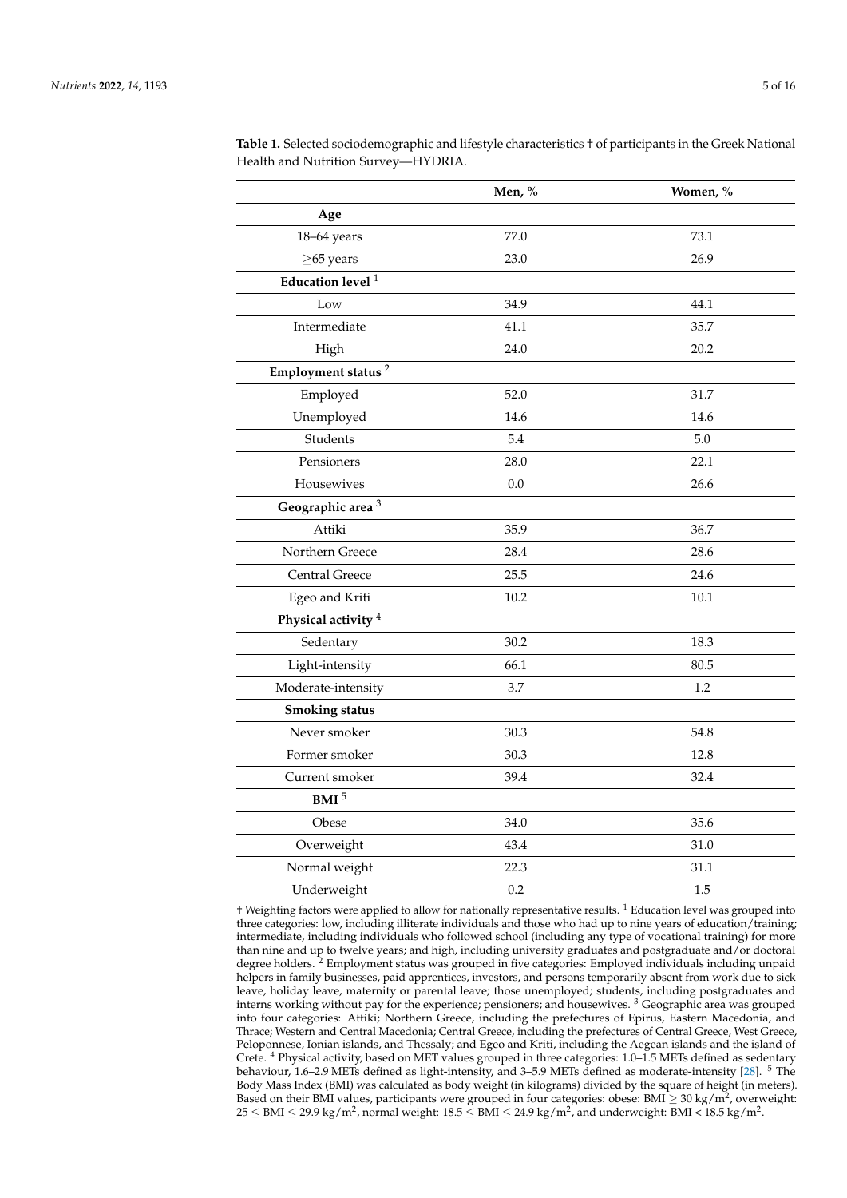|                                | Men, % | Women, % |
|--------------------------------|--------|----------|
| Age                            |        |          |
| 18-64 years                    | 77.0   | 73.1     |
| $\geq$ 65 years                | 23.0   | 26.9     |
| Education level $^{\rm 1}$     |        |          |
| Low                            | 34.9   | 44.1     |
| Intermediate                   | 41.1   | 35.7     |
| High                           | 24.0   | 20.2     |
| Employment status <sup>2</sup> |        |          |
| Employed                       | 52.0   | 31.7     |
| Unemployed                     | 14.6   | 14.6     |
| Students                       | 5.4    | 5.0      |
| Pensioners                     | 28.0   | 22.1     |
| Housewives                     | 0.0    | 26.6     |
| Geographic area <sup>3</sup>   |        |          |
| Attiki                         | 35.9   | 36.7     |
| Northern Greece                | 28.4   | 28.6     |
| <b>Central Greece</b>          | 25.5   | 24.6     |
| Egeo and Kriti                 | 10.2   | $10.1\,$ |
| Physical activity <sup>4</sup> |        |          |
| Sedentary                      | 30.2   | 18.3     |
| Light-intensity                | 66.1   | 80.5     |
| Moderate-intensity             | 3.7    | 1.2      |
| <b>Smoking status</b>          |        |          |
| Never smoker                   | 30.3   | 54.8     |
| Former smoker                  | 30.3   | 12.8     |
| Current smoker                 | 39.4   | 32.4     |
| $\,$ BMI $^5$                  |        |          |
| Obese                          | 34.0   | 35.6     |
| Overweight                     | 43.4   | 31.0     |
| Normal weight                  | 22.3   | 31.1     |
| Underweight                    | 0.2    | 1.5      |

<span id="page-4-0"></span>**Table 1.** Selected sociodemographic and lifestyle characteristics † of participants in the Greek National Health and Nutrition Survey—HYDRIA.

† Weighting factors were applied to allow for nationally representative results. <sup>1</sup> Education level was grouped into three categories: low, including illiterate individuals and those who had up to nine years of education/training; intermediate, including individuals who followed school (including any type of vocational training) for more than nine and up to twelve years; and high, including university graduates and postgraduate and/or doctoral degree holders. <sup>2</sup> Employment status was grouped in five categories: Employed individuals including unpaid helpers in family businesses, paid apprentices, investors, and persons temporarily absent from work due to sick leave, holiday leave, maternity or parental leave; those unemployed; students, including postgraduates and interns working without pay for the experience; pensioners; and housewives. <sup>3</sup> Geographic area was grouped into four categories: Attiki; Northern Greece, including the prefectures of Epirus, Eastern Macedonia, and Thrace; Western and Central Macedonia; Central Greece, including the prefectures of Central Greece, West Greece, Peloponnese, Ionian islands, and Thessaly; and Egeo and Kriti, including the Aegean islands and the island of Crete. <sup>4</sup> Physical activity, based on MET values grouped in three categories: 1.0–1.5 METs defined as sedentary behaviour, 1.6–2.9 METs defined as light-intensity, and 3–5.9 METs defined as moderate-intensity [\[28\]](#page-13-15). <sup>5</sup> The Body Mass Index (BMI) was calculated as body weight (in kilograms) divided by the square of height (in meters). Based on their BMI values, participants were grouped in four categories: obese: BMI  $\geq 30$  kg/m<sup>2</sup>, overweight:  $25\leq\rm{BMI}\leq29.9$  kg/m $^2$ , normal weight: 18.5  $\leq\rm{BMI}\leq24.9$  kg/m $^2$ , and underweight: BMI < 18.5 kg/m $^2$ .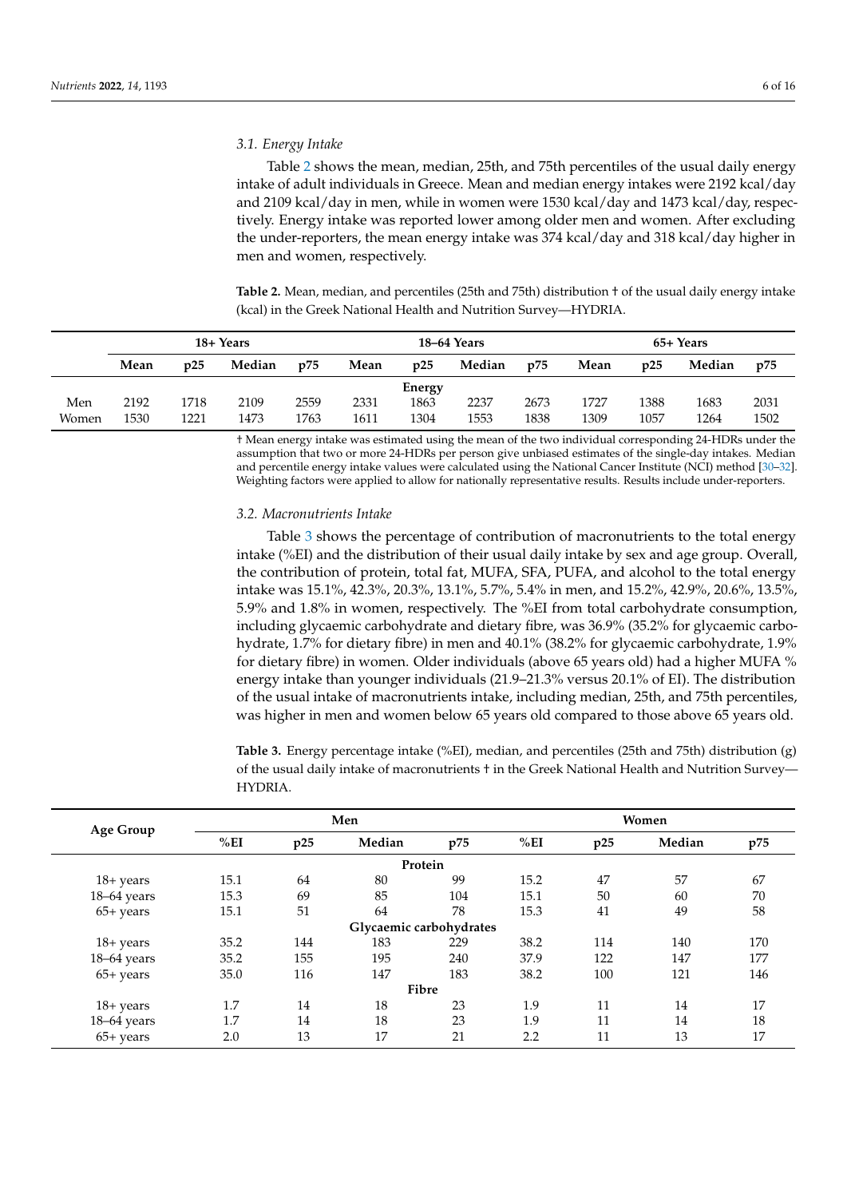# *3.1. Energy Intake*

Table [2](#page-5-0) shows the mean, median, 25th, and 75th percentiles of the usual daily energy intake of adult individuals in Greece. Mean and median energy intakes were 2192 kcal/day and 2109 kcal/day in men, while in women were 1530 kcal/day and 1473 kcal/day, respectively. Energy intake was reported lower among older men and women. After excluding the under-reporters, the mean energy intake was 374 kcal/day and 318 kcal/day higher in men and women, respectively.

<span id="page-5-0"></span>**Table 2.** Mean, median, and percentiles (25th and 75th) distribution † of the usual daily energy intake (kcal) in the Greek National Health and Nutrition Survey—HYDRIA.

|       | 18+ Years |      |        |      | 18–64 Years |        |        |      | 65+ Years |      |        |      |
|-------|-----------|------|--------|------|-------------|--------|--------|------|-----------|------|--------|------|
|       | Mean      | p25  | Median | p75  | Mean        | p25    | Median | p75  | Mean      | p25  | Median | p75  |
|       |           |      |        |      |             | Energy |        |      |           |      |        |      |
| Men   | 2192      | 1718 | 2109   | 2559 | 2331        | 1863   | 2237   | 2673 | 1727      | 1388 | 1683   | 2031 |
| Women | 1530      | 1221 | 1473   | 1763 | 1611        | 1304   | 1553   | 1838 | 1309      | 1057 | 1264   | 1502 |

† Mean energy intake was estimated using the mean of the two individual corresponding 24-HDRs under the assumption that two or more 24-HDRs per person give unbiased estimates of the single-day intakes. Median and percentile energy intake values were calculated using the National Cancer Institute (NCI) method [\[30–](#page-13-17)[32\]](#page-13-18). Weighting factors were applied to allow for nationally representative results. Results include under-reporters.

# *3.2. Macronutrients Intake*

Table [3](#page-6-0) shows the percentage of contribution of macronutrients to the total energy intake (%EI) and the distribution of their usual daily intake by sex and age group. Overall, the contribution of protein, total fat, MUFA, SFA, PUFA, and alcohol to the total energy intake was 15.1%, 42.3%, 20.3%, 13.1%, 5.7%, 5.4% in men, and 15.2%, 42.9%, 20.6%, 13.5%, 5.9% and 1.8% in women, respectively. The %EI from total carbohydrate consumption, including glycaemic carbohydrate and dietary fibre, was 36.9% (35.2% for glycaemic carbohydrate, 1.7% for dietary fibre) in men and 40.1% (38.2% for glycaemic carbohydrate, 1.9% for dietary fibre) in women. Older individuals (above 65 years old) had a higher MUFA % energy intake than younger individuals (21.9–21.3% versus 20.1% of EI). The distribution of the usual intake of macronutrients intake, including median, 25th, and 75th percentiles, was higher in men and women below 65 years old compared to those above 65 years old.

**Table 3.** Energy percentage intake (%EI), median, and percentiles (25th and 75th) distribution (g) of the usual daily intake of macronutrients † in the Greek National Health and Nutrition Survey— HYDRIA.

| Age Group    |      |     | Men                     |     | Women |     |        |     |  |
|--------------|------|-----|-------------------------|-----|-------|-----|--------|-----|--|
|              | %EI  | p25 | Median                  | p75 | %EI   | p25 | Median | p75 |  |
|              |      |     | Protein                 |     |       |     |        |     |  |
| $18 + years$ | 15.1 | 64  | 80                      | 99  | 15.2  | 47  | 57     | 67  |  |
| 18-64 years  | 15.3 | 69  | 85                      | 104 | 15.1  | 50  | 60     | 70  |  |
| $65+$ years  | 15.1 | 51  | 64                      | 78  | 15.3  | 41  | 49     | 58  |  |
|              |      |     | Glycaemic carbohydrates |     |       |     |        |     |  |
| 18+ years    | 35.2 | 144 | 183                     | 229 | 38.2  | 114 | 140    | 170 |  |
| 18–64 years  | 35.2 | 155 | 195                     | 240 | 37.9  | 122 | 147    | 177 |  |
| $65+$ years  | 35.0 | 116 | 147                     | 183 | 38.2  | 100 | 121    | 146 |  |
|              |      |     | Fibre                   |     |       |     |        |     |  |
| $18 + years$ | 1.7  | 14  | 18                      | 23  | 1.9   | 11  | 14     | 17  |  |
| 18-64 years  | 1.7  | 14  | 18                      | 23  | 1.9   | 11  | 14     | 18  |  |
| $65+$ years  | 2.0  | 13  | 17                      | 21  | 2.2   | 11  | 13     | 17  |  |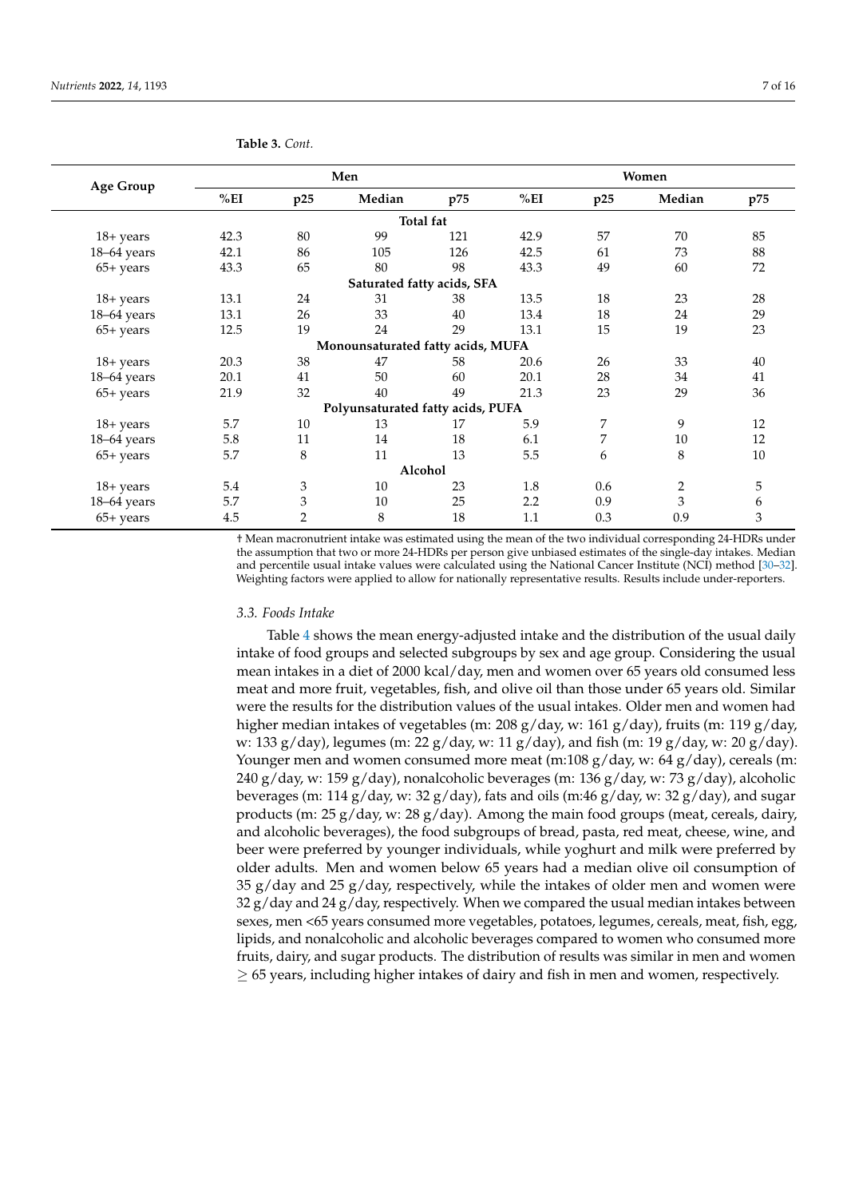| <b>Age Group</b>      |      |                | Men                               |     |      |     | Women  |     |
|-----------------------|------|----------------|-----------------------------------|-----|------|-----|--------|-----|
|                       | %EI  | p25            | Median                            | p75 | %EI  | p25 | Median | p75 |
|                       |      |                | Total fat                         |     |      |     |        |     |
| $18 + \mathrm{years}$ | 42.3 | 80             | 99                                | 121 | 42.9 | 57  | 70     | 85  |
| $18-64$ years         | 42.1 | 86             | 105                               | 126 | 42.5 | 61  | 73     | 88  |
| $65+$ years           | 43.3 | 65             | 80                                | 98  | 43.3 | 49  | 60     | 72  |
|                       |      |                | Saturated fatty acids, SFA        |     |      |     |        |     |
| $18 + years$          | 13.1 | 24             | 31                                | 38  | 13.5 | 18  | 23     | 28  |
| $18-64$ years         | 13.1 | 26             | 33                                | 40  | 13.4 | 18  | 24     | 29  |
| $65+$ years           | 12.5 | 19             | 24                                | 29  | 13.1 | 15  | 19     | 23  |
|                       |      |                | Monounsaturated fatty acids, MUFA |     |      |     |        |     |
| $18 + years$          | 20.3 | 38             | 47                                | 58  | 20.6 | 26  | 33     | 40  |
| $18-64$ years         | 20.1 | 41             | 50                                | 60  | 20.1 | 28  | 34     | 41  |
| $65+$ years           | 21.9 | 32             | 40                                | 49  | 21.3 | 23  | 29     | 36  |
|                       |      |                | Polyunsaturated fatty acids, PUFA |     |      |     |        |     |
| $18 + years$          | 5.7  | 10             | 13                                | 17  | 5.9  | 7   | 9      | 12  |
| $18-64$ years         | 5.8  | 11             | 14                                | 18  | 6.1  | 7   | 10     | 12  |
| $65+$ years           | 5.7  | 8              | 11                                | 13  | 5.5  | 6   | 8      | 10  |
|                       |      |                | Alcohol                           |     |      |     |        |     |
| $18 + \mathrm{years}$ | 5.4  | 3              | 10                                | 23  | 1.8  | 0.6 | 2      | 5   |
| $18-64$ years         | 5.7  | 3              | 10                                | 25  | 2.2  | 0.9 | 3      | 6   |
| $65+$ years           | 4.5  | $\overline{2}$ | 8                                 | 18  | 1.1  | 0.3 | 0.9    | 3   |

<span id="page-6-0"></span>**Table 3.** *Cont.*

† Mean macronutrient intake was estimated using the mean of the two individual corresponding 24-HDRs under the assumption that two or more 24-HDRs per person give unbiased estimates of the single-day intakes. Median and percentile usual intake values were calculated using the National Cancer Institute (NCI) method [\[30–](#page-13-17)[32\]](#page-13-18). Weighting factors were applied to allow for nationally representative results. Results include under-reporters.

#### *3.3. Foods Intake*

Table [4](#page-8-0) shows the mean energy-adjusted intake and the distribution of the usual daily intake of food groups and selected subgroups by sex and age group. Considering the usual mean intakes in a diet of 2000 kcal/day, men and women over 65 years old consumed less meat and more fruit, vegetables, fish, and olive oil than those under 65 years old. Similar were the results for the distribution values of the usual intakes. Older men and women had higher median intakes of vegetables (m: 208 g/day, w: 161 g/day), fruits (m: 119 g/day, w: 133 g/day), legumes (m: 22 g/day, w: 11 g/day), and fish (m: 19 g/day, w: 20 g/day). Younger men and women consumed more meat  $(m:108 \text{ g/day})$ , w: 64 g/day), cereals  $(m:108 \text{ g/day})$ 240 g/day, w: 159 g/day), nonalcoholic beverages (m: 136 g/day, w: 73 g/day), alcoholic beverages (m: 114 g/day, w: 32 g/day), fats and oils (m:46 g/day, w: 32 g/day), and sugar products (m:  $25 g/day$ , w:  $28 g/day$ ). Among the main food groups (meat, cereals, dairy, and alcoholic beverages), the food subgroups of bread, pasta, red meat, cheese, wine, and beer were preferred by younger individuals, while yoghurt and milk were preferred by older adults. Men and women below 65 years had a median olive oil consumption of  $35 \text{ g/day}$  and  $25 \text{ g/day}$ , respectively, while the intakes of older men and women were  $32 g/day$  and  $24 g/day$ , respectively. When we compared the usual median intakes between sexes, men <65 years consumed more vegetables, potatoes, legumes, cereals, meat, fish, egg, lipids, and nonalcoholic and alcoholic beverages compared to women who consumed more fruits, dairy, and sugar products. The distribution of results was similar in men and women  $\geq$  65 years, including higher intakes of dairy and fish in men and women, respectively.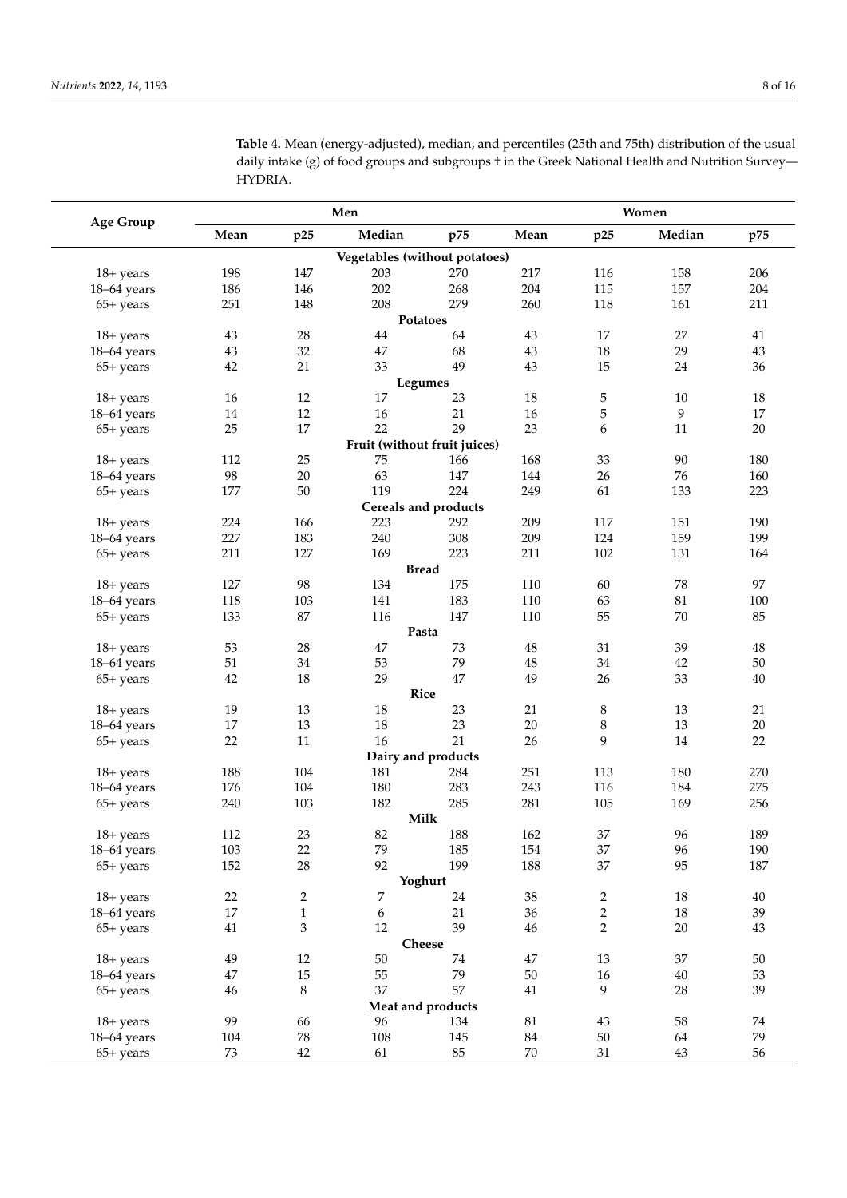**Table 4.** Mean (energy-adjusted), median, and percentiles (25th and 75th) distribution of the usual daily intake (g) of food groups and subgroups  $\dagger$  in the Greek National Health and Nutrition Survey— HYDRIA.

| <b>Age Group</b> |        |              | Men                           |                      |          | Women          |        |          |  |  |
|------------------|--------|--------------|-------------------------------|----------------------|----------|----------------|--------|----------|--|--|
|                  | Mean   | p25          | Median                        | p75                  | Mean     | p25            | Median | p75      |  |  |
|                  |        |              | Vegetables (without potatoes) |                      |          |                |        |          |  |  |
| 18+ years        | 198    | 147          | 203                           | 270                  | 217      | 116            | 158    | 206      |  |  |
| 18-64 years      | 186    | 146          | 202                           | 268                  | 204      | 115            | 157    | 204      |  |  |
| $65+$ years      | 251    | 148          | 208                           | 279                  | 260      | 118            | 161    | 211      |  |  |
|                  |        |              |                               | Potatoes             |          |                |        |          |  |  |
| $18 + years$     | 43     | 28           | $44\,$                        | 64                   | 43       | 17             | 27     | $41\,$   |  |  |
| 18-64 years      | 43     | 32           | 47                            | 68                   | 43       | 18             | 29     | $43\,$   |  |  |
| $65+$ years      | 42     | 21           | 33                            | 49                   | 43       | 15             | 24     | 36       |  |  |
|                  |        |              |                               | Legumes              |          |                |        |          |  |  |
| $18 + years$     | 16     | 12           | 17                            | 23                   | 18       | $\mathbf 5$    | 10     | 18       |  |  |
| 18-64 years      | $14\,$ | $12\,$       | 16                            | 21                   | 16       | 5              | 9      | 17       |  |  |
| $65+$ years      | 25     | 17           | 22                            | 29                   | 23       | 6              | 11     | $20\,$   |  |  |
|                  |        |              | Fruit (without fruit juices)  |                      |          |                |        |          |  |  |
| $18 + years$     | 112    | 25           | 75                            | 166                  | 168      | 33             | 90     | 180      |  |  |
| 18-64 years      | 98     | $20\,$       | 63                            | 147                  | 144      | 26             | 76     | 160      |  |  |
| $65+$ years      | 177    | 50           | 119                           | 224                  | 249      | 61             | 133    | 223      |  |  |
|                  |        |              |                               | Cereals and products |          |                |        |          |  |  |
| $18 + years$     | 224    | 166          | 223                           | 292                  | 209      | 117            | 151    | 190      |  |  |
| 18-64 years      | 227    | 183          | 240                           | 308                  | 209      | 124            | 159    | 199      |  |  |
| $65+$ years      | 211    | 127          | 169                           | 223                  | 211      | 102            | 131    | 164      |  |  |
|                  |        | 98           |                               | <b>Bread</b><br>175  |          |                |        | 97       |  |  |
| $18 + years$     | 127    |              | 134                           |                      | 110      | 60             | 78     |          |  |  |
| 18-64 years      | 118    | 103          | 141                           | 183                  | 110      | 63             | 81     | 100      |  |  |
| $65+$ years      | 133    | $87\,$       | 116                           | 147<br>Pasta         | 110      | 55             | 70     | 85       |  |  |
| $18 + years$     | 53     | 28           | $47\,$                        | 73                   | $48\,$   | 31             | 39     | $\rm 48$ |  |  |
| 18-64 years      | 51     | 34           | 53                            | 79                   | $\rm 48$ | 34             | $42\,$ | $50\,$   |  |  |
| $65+ years$      | 42     | 18           | 29                            | 47                   | 49       | 26             | 33     | $40\,$   |  |  |
|                  |        |              | Rice                          |                      |          |                |        |          |  |  |
| $18 + years$     | 19     | 13           | 18                            | 23                   | 21       | $\,8\,$        | 13     | 21       |  |  |
| 18-64 years      | 17     | 13           | 18                            | 23                   | 20       | $\,8\,$        | 13     | $20\,$   |  |  |
| $65+$ years      | 22     | 11           | 16                            | 21                   | 26       | 9              | 14     | 22       |  |  |
|                  |        |              |                               | Dairy and products   |          |                |        |          |  |  |
| $18 + years$     | 188    | 104          | 181                           | 284                  | 251      | 113            | 180    | 270      |  |  |
| 18-64 years      | 176    | 104          | 180                           | 283                  | 243      | 116            | 184    | 275      |  |  |
| $65+ years$      | 240    | 103          | 182                           | 285                  | 281      | 105            | 169    | 256      |  |  |
|                  |        |              |                               | Milk                 |          |                |        |          |  |  |
| $18 + years$     | 112    | 23           | 82                            | 188                  | 162      | $37\,$         | 96     | 189      |  |  |
| 18-64 years      | 103    | $22\,$       | 79                            | 185                  | 154      | 37             | 96     | 190      |  |  |
| $65+ years$      | 152    | 28           | 92                            | 199                  | 188      | 37             | 95     | 187      |  |  |
|                  |        |              |                               | Yoghurt              |          |                |        |          |  |  |
| $18 + years$     | 22     | 2            | 7                             | 24                   | $38\,$   | $\overline{c}$ | 18     | $40\,$   |  |  |
| 18-64 years      | $17\,$ | $\mathbf{1}$ | $\boldsymbol{6}$              | 21                   | 36       | $\overline{2}$ | 18     | 39       |  |  |
| $65+$ years      | $41\,$ | 3            | 12                            | 39                   | $46\,$   | $\overline{2}$ | $20\,$ | $43\,$   |  |  |
|                  |        |              |                               | Cheese               |          |                |        |          |  |  |
| 18+ years        | 49     | $12\,$       | $50\,$                        | 74                   | $47\,$   | 13             | 37     | $50\,$   |  |  |
| 18-64 years      | 47     | $15\,$       | 55                            | 79                   | 50       | $16\,$         | $40\,$ | 53       |  |  |
| $65+ years$      | $46\,$ | 8            | 37                            | 57                   | $41\,$   | 9              | 28     | 39       |  |  |
|                  |        |              |                               | Meat and products    |          |                |        |          |  |  |
| 18+ years        | 99     | 66           | 96                            | 134                  | $81\,$   | $43\,$         | 58     | 74       |  |  |
| 18-64 years      | 104    | ${\bf 78}$   | 108                           | 145                  | $84\,$   | $50\,$         | 64     | 79       |  |  |
| $65+ years$      | $73\,$ | 42           | 61                            | $85\,$               | $70\,$   | 31             | 43     | 56       |  |  |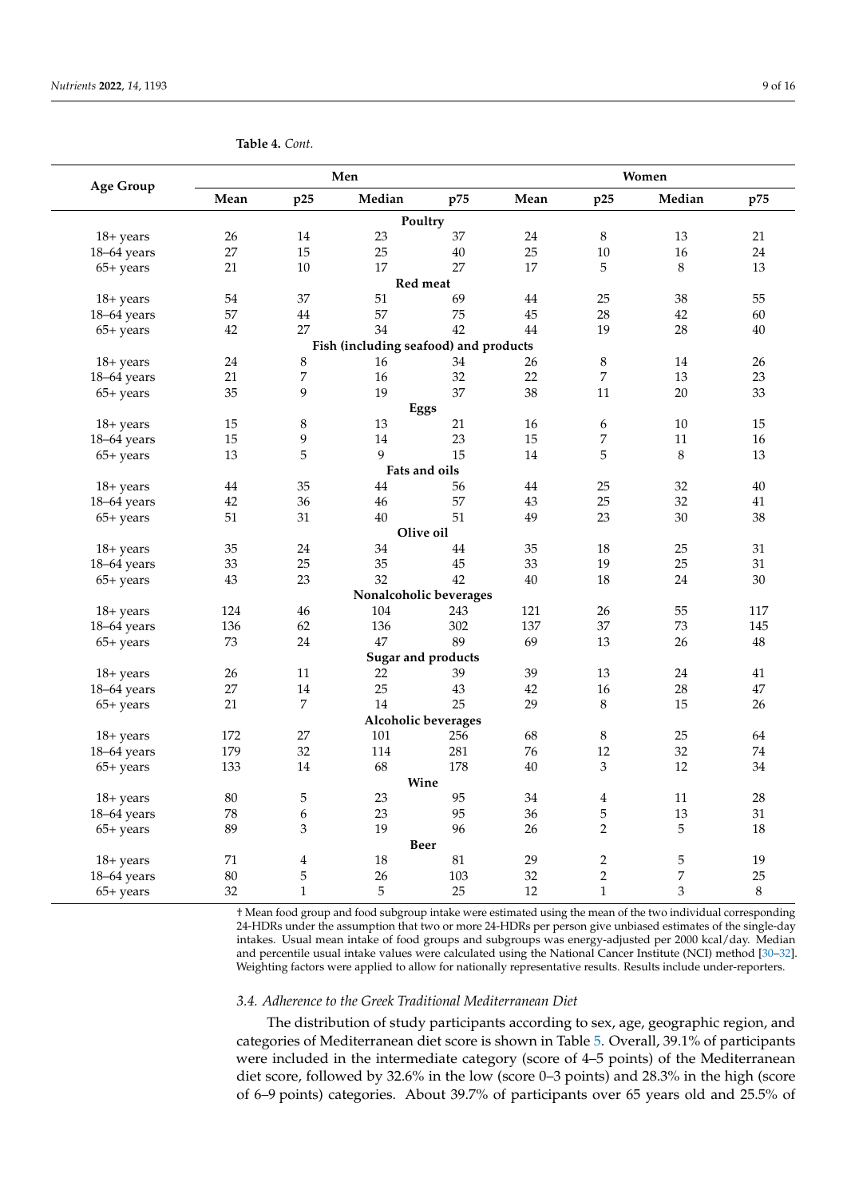| <b>Age Group</b> |        |                         | Men                                   |                           | Women |                  |                  |         |  |
|------------------|--------|-------------------------|---------------------------------------|---------------------------|-------|------------------|------------------|---------|--|
|                  | Mean   | p25                     | Median                                | p75                       | Mean  | p25              | Median           | p75     |  |
|                  |        |                         |                                       | Poultry                   |       |                  |                  |         |  |
| 18+ years        | 26     | 14                      | 23                                    | 37                        | 24    | $\,8\,$          | 13               | 21      |  |
| 18-64 years      | 27     | 15                      | 25                                    | 40                        | 25    | 10               | 16               | 24      |  |
| $65+$ years      | 21     | 10                      | 17                                    | 27                        | 17    | 5                | 8                | 13      |  |
|                  |        |                         |                                       | Red meat                  |       |                  |                  |         |  |
| 18+ years        | 54     | 37                      | 51                                    | 69                        | 44    | 25               | 38               | 55      |  |
| 18-64 years      | 57     | 44                      | 57                                    | 75                        | 45    | 28               | 42               | 60      |  |
| $65+$ years      | 42     | 27                      | 34                                    | 42                        | 44    | 19               | 28               | 40      |  |
|                  |        |                         | Fish (including seafood) and products |                           |       |                  |                  |         |  |
| $18 + years$     | 24     | 8                       | 16                                    | 34                        | 26    | $\,8\,$          | 14               | 26      |  |
| 18-64 years      | 21     | 7                       | $16\,$                                | 32                        | 22    | $\overline{7}$   | 13               | 23      |  |
| $65+$ years      | 35     | 9                       | 19                                    | 37                        | 38    | 11               | 20               | 33      |  |
|                  |        |                         |                                       | Eggs                      |       |                  |                  |         |  |
| $18 + years$     | 15     | 8                       | $13\,$                                | 21                        | 16    | $\boldsymbol{6}$ | 10               | 15      |  |
| 18-64 years      | $15\,$ | 9                       | 14                                    | 23                        | 15    | $\overline{7}$   | 11               | 16      |  |
| $65+$ years      | 13     | 5                       | 9                                     | 15                        | 14    | 5                | $\,8\,$          | 13      |  |
|                  |        |                         |                                       | Fats and oils             |       |                  |                  |         |  |
| $18 + years$     | 44     | 35                      | 44                                    | 56                        | 44    | 25               | 32               | 40      |  |
| 18-64 years      | 42     | 36                      | 46                                    | 57                        | 43    | 25               | 32               | 41      |  |
| $65+$ years      | 51     | 31                      | 40                                    | 51                        | 49    | 23               | 30               | 38      |  |
|                  |        |                         |                                       | Olive oil                 |       |                  |                  |         |  |
| $18 + years$     | 35     | 24                      | 34                                    | 44                        | 35    | 18               | 25               | 31      |  |
| 18-64 years      | 33     | 25                      | 35                                    | 45                        | 33    | 19               | 25               | 31      |  |
| $65+$ years      | 43     | 23                      | 32                                    | 42                        | 40    | 18               | 24               | 30      |  |
|                  |        |                         |                                       | Nonalcoholic beverages    |       |                  |                  |         |  |
| $18 + years$     | 124    | 46                      | 104                                   | 243                       | 121   | 26               | 55               | 117     |  |
| $18-64$ years    | 136    | 62                      | 136                                   | 302                       | 137   | 37               | 73               | 145     |  |
| $65+$ years      | 73     | 24                      | 47                                    | 89                        | 69    | 13               | 26               | 48      |  |
|                  |        |                         |                                       | <b>Sugar and products</b> |       |                  |                  |         |  |
| 18+ years        | 26     | 11                      | 22                                    | 39                        | 39    | 13               | 24               | 41      |  |
| 18-64 years      | 27     | 14                      | 25                                    | 43                        | 42    | 16               | 28               | 47      |  |
| 65+ years        | 21     | 7                       | 14                                    | 25                        | 29    | 8                | 15               | 26      |  |
|                  |        |                         |                                       | Alcoholic beverages       |       |                  |                  |         |  |
| $18 + years$     | 172    | 27                      | 101                                   | 256                       | 68    | $\,8\,$          | 25               | 64      |  |
| 18-64 years      | 179    | 32                      | 114                                   | 281                       | 76    | 12               | 32               | 74      |  |
| $65+$ years      | 133    | 14                      | 68                                    | 178                       | 40    | $\mathfrak{Z}$   | 12               | 34      |  |
|                  |        |                         |                                       | Wine                      |       |                  |                  |         |  |
| $18 + years$     | 80     | 5                       | 23                                    | 95                        | 34    | $\overline{4}$   | 11               | 28      |  |
| 18-64 years      | 78     | 6                       | 23                                    | 95                        | 36    | 5                | 13               | 31      |  |
| $65+$ years      | 89     | 3                       | 19                                    | 96                        | 26    | $\overline{2}$   | 5                | 18      |  |
|                  |        |                         |                                       | <b>Beer</b>               |       |                  |                  |         |  |
| $18 + years$     | 71     | $\overline{\mathbf{4}}$ | $18\,$                                | 81                        | 29    | $\overline{2}$   | $\mathbf 5$      | 19      |  |
| $18-64$ years    | 80     | 5                       | 26                                    | 103                       | 32    | $\overline{2}$   | $\boldsymbol{7}$ | 25      |  |
| 65+ years        | 32     | $\mathbf{1}$            | 5                                     | 25                        | 12    | $\mathbf{1}$     | 3                | $\,8\,$ |  |

<span id="page-8-0"></span>**Table 4.** *Cont.*

† Mean food group and food subgroup intake were estimated using the mean of the two individual corresponding 24-HDRs under the assumption that two or more 24-HDRs per person give unbiased estimates of the single-day intakes. Usual mean intake of food groups and subgroups was energy-adjusted per 2000 kcal/day. Median and percentile usual intake values were calculated using the National Cancer Institute (NCI) method [\[30–](#page-13-17)[32\]](#page-13-18). Weighting factors were applied to allow for nationally representative results. Results include under-reporters.

# *3.4. Adherence to the Greek Traditional Mediterranean Diet*

The distribution of study participants according to sex, age, geographic region, and categories of Mediterranean diet score is shown in Table [5.](#page-9-0) Overall, 39.1% of participants were included in the intermediate category (score of 4–5 points) of the Mediterranean diet score, followed by 32.6% in the low (score 0–3 points) and 28.3% in the high (score of 6–9 points) categories. About 39.7% of participants over 65 years old and 25.5% of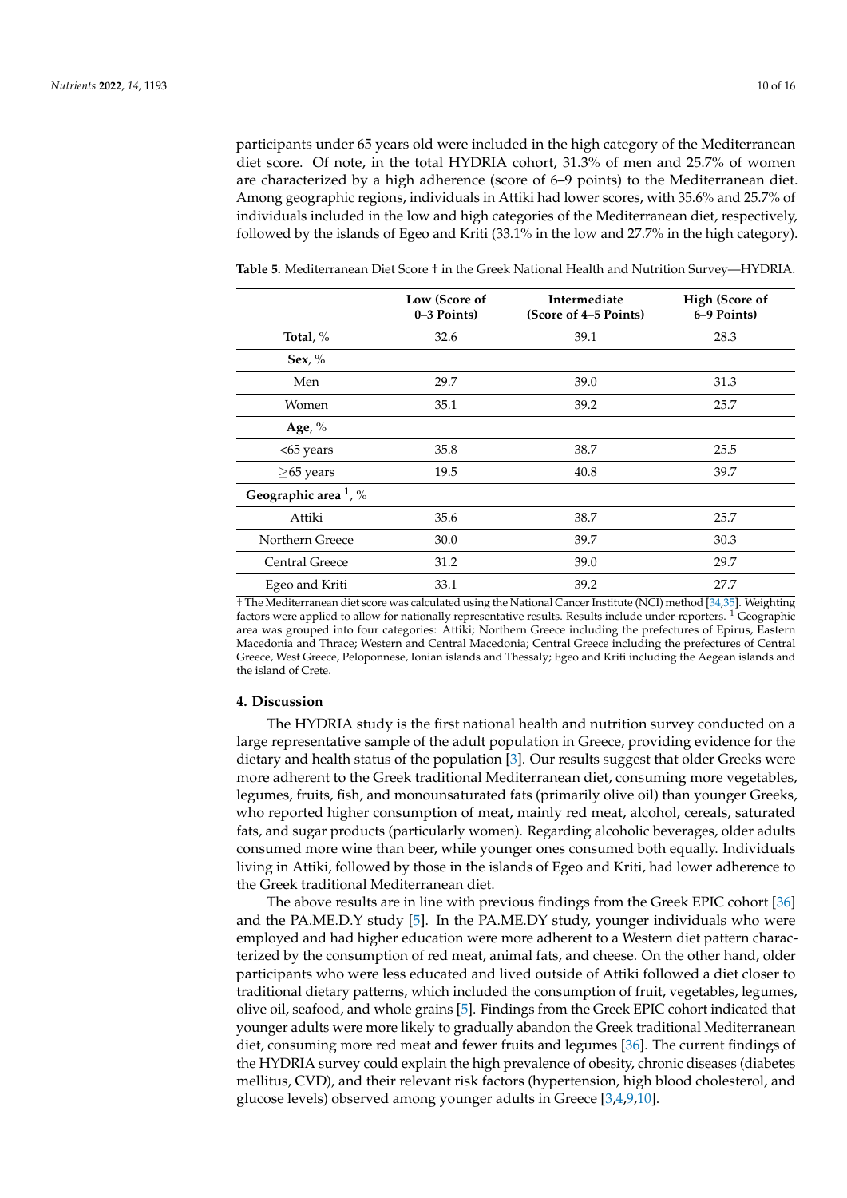participants under 65 years old were included in the high category of the Mediterranean diet score. Of note, in the total HYDRIA cohort, 31.3% of men and 25.7% of women are characterized by a high adherence (score of 6–9 points) to the Mediterranean diet. Among geographic regions, individuals in Attiki had lower scores, with 35.6% and 25.7% of individuals included in the low and high categories of the Mediterranean diet, respectively, followed by the islands of Egeo and Kriti (33.1% in the low and 27.7% in the high category).

|                                  | Low (Score of<br>0–3 Points) | Intermediate<br>(Score of 4–5 Points) | <b>High (Score of</b><br>6–9 Points) |
|----------------------------------|------------------------------|---------------------------------------|--------------------------------------|
| Total, $%$                       | 32.6                         | 39.1                                  | 28.3                                 |
| Sex, $\%$                        |                              |                                       |                                      |
| Men                              | 29.7                         | 39.0                                  | 31.3                                 |
| Women                            | 35.1                         | 39.2                                  | 25.7                                 |
| Age, $%$                         |                              |                                       |                                      |
| <65 years                        | 35.8                         | 38.7                                  | 25.5                                 |
| $\geq$ 65 years                  | 19.5                         | 40.8                                  | 39.7                                 |
| Geographic area <sup>1</sup> , % |                              |                                       |                                      |
| Attiki                           | 35.6                         | 38.7                                  | 25.7                                 |
| Northern Greece                  | 30.0                         | 39.7                                  | 30.3                                 |
| Central Greece                   | 31.2                         | 39.0                                  | 29.7                                 |
| Egeo and Kriti                   | 33.1                         | 39.2                                  | 27.7                                 |

<span id="page-9-0"></span>**Table 5.** Mediterranean Diet Score † in the Greek National Health and Nutrition Survey—HYDRIA.

† The Mediterranean diet score was calculated using the National Cancer Institute (NCI) method [\[34,](#page-13-20)[35\]](#page-14-0). Weighting factors were applied to allow for nationally representative results. Results include under-reporters. <sup>1</sup> Geographic area was grouped into four categories: Attiki; Northern Greece including the prefectures of Epirus, Eastern Macedonia and Thrace; Western and Central Macedonia; Central Greece including the prefectures of Central Greece, West Greece, Peloponnese, Ionian islands and Thessaly; Egeo and Kriti including the Aegean islands and the island of Crete.

## **4. Discussion**

The HYDRIA study is the first national health and nutrition survey conducted on a large representative sample of the adult population in Greece, providing evidence for the dietary and health status of the population [\[3\]](#page-12-2). Our results suggest that older Greeks were more adherent to the Greek traditional Mediterranean diet, consuming more vegetables, legumes, fruits, fish, and monounsaturated fats (primarily olive oil) than younger Greeks, who reported higher consumption of meat, mainly red meat, alcohol, cereals, saturated fats, and sugar products (particularly women). Regarding alcoholic beverages, older adults consumed more wine than beer, while younger ones consumed both equally. Individuals living in Attiki, followed by those in the islands of Egeo and Kriti, had lower adherence to the Greek traditional Mediterranean diet.

The above results are in line with previous findings from the Greek EPIC cohort [\[36\]](#page-14-1) and the PA.ME.D.Y study [\[5\]](#page-12-4). In the PA.ME.DY study, younger individuals who were employed and had higher education were more adherent to a Western diet pattern characterized by the consumption of red meat, animal fats, and cheese. On the other hand, older participants who were less educated and lived outside of Attiki followed a diet closer to traditional dietary patterns, which included the consumption of fruit, vegetables, legumes, olive oil, seafood, and whole grains [\[5\]](#page-12-4). Findings from the Greek EPIC cohort indicated that younger adults were more likely to gradually abandon the Greek traditional Mediterranean diet, consuming more red meat and fewer fruits and legumes [\[36\]](#page-14-1). The current findings of the HYDRIA survey could explain the high prevalence of obesity, chronic diseases (diabetes mellitus, CVD), and their relevant risk factors (hypertension, high blood cholesterol, and glucose levels) observed among younger adults in Greece [\[3,](#page-12-2)[4,](#page-12-3)[9,](#page-12-7)[10\]](#page-12-9).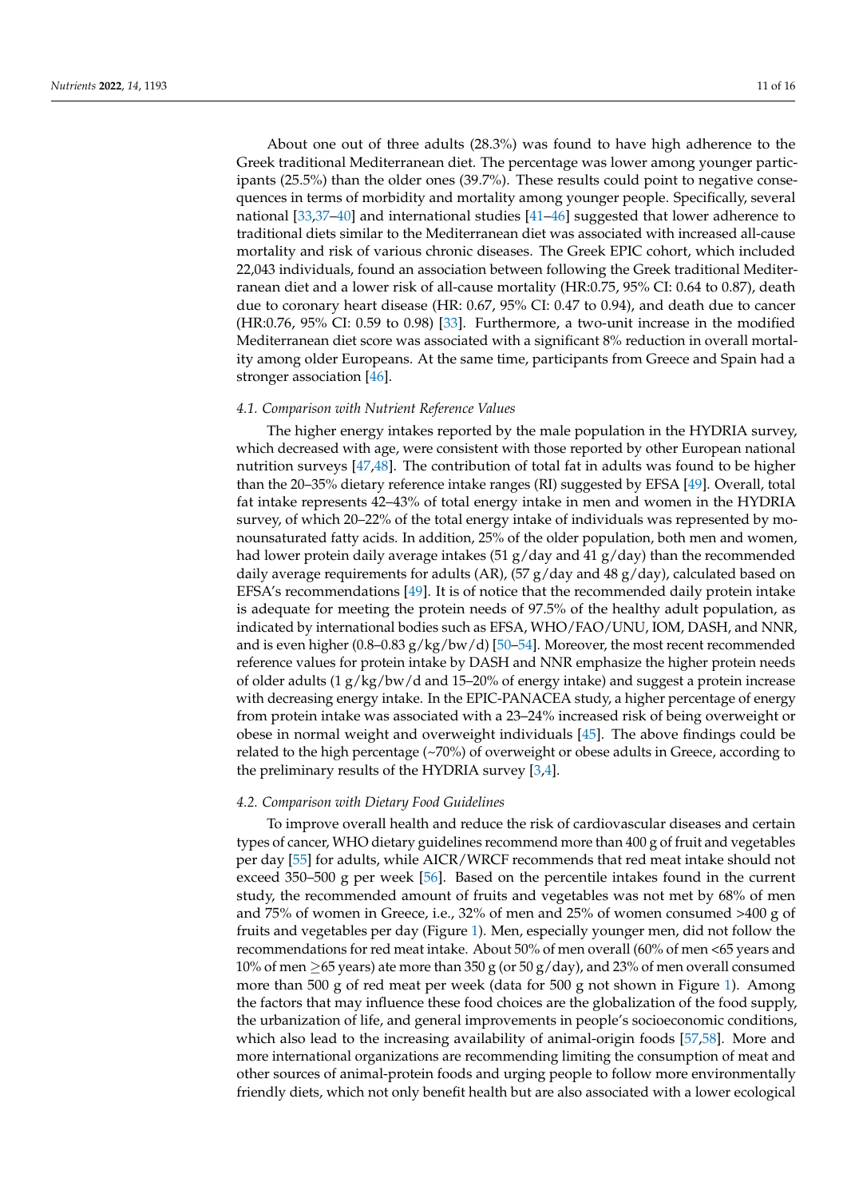About one out of three adults (28.3%) was found to have high adherence to the Greek traditional Mediterranean diet. The percentage was lower among younger participants (25.5%) than the older ones (39.7%). These results could point to negative consequences in terms of morbidity and mortality among younger people. Specifically, several national [\[33](#page-13-19)[,37–](#page-14-2)[40\]](#page-14-3) and international studies [\[41](#page-14-4)[–46\]](#page-14-5) suggested that lower adherence to traditional diets similar to the Mediterranean diet was associated with increased all-cause mortality and risk of various chronic diseases. The Greek EPIC cohort, which included 22,043 individuals, found an association between following the Greek traditional Mediterranean diet and a lower risk of all-cause mortality (HR:0.75, 95% CI: 0.64 to 0.87), death due to coronary heart disease (HR: 0.67, 95% CI: 0.47 to 0.94), and death due to cancer (HR:0.76, 95% CI: 0.59 to 0.98) [\[33\]](#page-13-19). Furthermore, a two-unit increase in the modified Mediterranean diet score was associated with a significant 8% reduction in overall mortality among older Europeans. At the same time, participants from Greece and Spain had a stronger association [\[46\]](#page-14-5).

## *4.1. Comparison with Nutrient Reference Values*

The higher energy intakes reported by the male population in the HYDRIA survey, which decreased with age, were consistent with those reported by other European national nutrition surveys [\[47,](#page-14-6)[48\]](#page-14-7). The contribution of total fat in adults was found to be higher than the 20–35% dietary reference intake ranges (RI) suggested by EFSA [\[49\]](#page-14-8). Overall, total fat intake represents 42–43% of total energy intake in men and women in the HYDRIA survey, of which 20–22% of the total energy intake of individuals was represented by monounsaturated fatty acids. In addition, 25% of the older population, both men and women, had lower protein daily average intakes (51 g/day and 41 g/day) than the recommended daily average requirements for adults (AR), (57 g/day and 48 g/day), calculated based on EFSA's recommendations [\[49\]](#page-14-8). It is of notice that the recommended daily protein intake is adequate for meeting the protein needs of 97.5% of the healthy adult population, as indicated by international bodies such as EFSA, WHO/FAO/UNU, IOM, DASH, and NNR, and is even higher  $(0.8-0.83 \text{ g/kg/bw/d})$  [\[50](#page-14-9)[–54\]](#page-14-10). Moreover, the most recent recommended reference values for protein intake by DASH and NNR emphasize the higher protein needs of older adults (1 g/kg/bw/d and 15–20% of energy intake) and suggest a protein increase with decreasing energy intake. In the EPIC-PANACEA study, a higher percentage of energy from protein intake was associated with a 23–24% increased risk of being overweight or obese in normal weight and overweight individuals [\[45\]](#page-14-11). The above findings could be related to the high percentage (~70%) of overweight or obese adults in Greece, according to the preliminary results of the HYDRIA survey [\[3](#page-12-2)[,4\]](#page-12-3).

# *4.2. Comparison with Dietary Food Guidelines*

To improve overall health and reduce the risk of cardiovascular diseases and certain types of cancer, WHO dietary guidelines recommend more than 400 g of fruit and vegetables per day [\[55\]](#page-14-12) for adults, while AICR/WRCF recommends that red meat intake should not exceed 350–500 g per week [\[56\]](#page-14-13). Based on the percentile intakes found in the current study, the recommended amount of fruits and vegetables was not met by 68% of men and 75% of women in Greece, i.e., 32% of men and 25% of women consumed >400 g of fruits and vegetables per day (Figure [1\)](#page-11-0). Men, especially younger men, did not follow the recommendations for red meat intake. About 50% of men overall (60% of men <65 years and 10% of men  $\geq$ 65 years) ate more than 350 g (or 50 g/day), and 23% of men overall consumed more than 500 g of red meat per week (data for 500 g not shown in Figure [1\)](#page-11-0). Among the factors that may influence these food choices are the globalization of the food supply, the urbanization of life, and general improvements in people's socioeconomic conditions, which also lead to the increasing availability of animal-origin foods [\[57,](#page-14-14)[58\]](#page-15-0). More and more international organizations are recommending limiting the consumption of meat and other sources of animal-protein foods and urging people to follow more environmentally friendly diets, which not only benefit health but are also associated with a lower ecological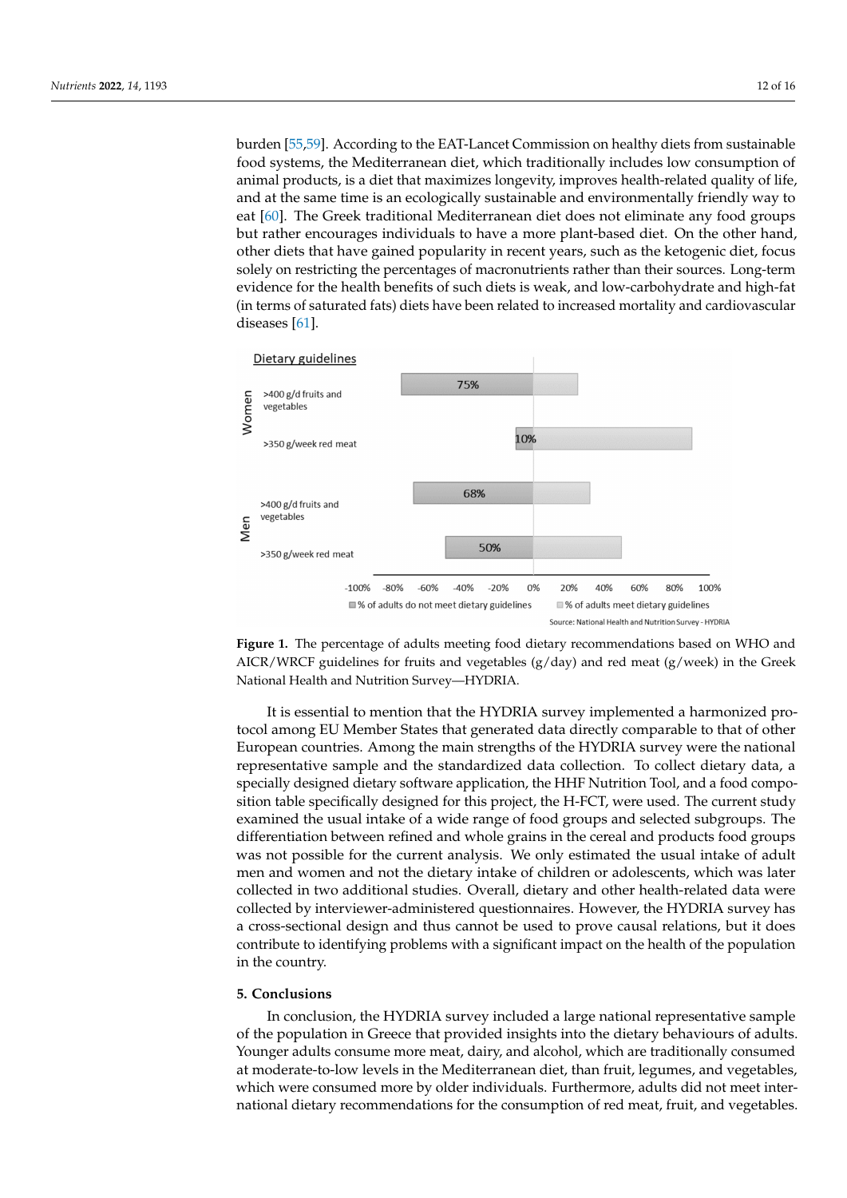burden [\[55,](#page-14-12)[59\]](#page-15-1). According to the EAT-Lancet Commission on healthy diets from sustainable food systems, the Mediterranean diet, which traditionally includes low consumption of animal products, is a diet that maximizes longevity, improves health-related quality of life, and at the same time is an ecologically sustainable and environmentally friendly way to eat [\[60\]](#page-15-2). The Greek traditional Mediterranean diet does not eliminate any food groups but rather encourages individuals to have a more plant-based diet. On the other hand, other diets that have gained popularity in recent years, such as the ketogenic diet, focus solely on restricting the percentages of macronutrients rather than their sources. Long-term evidence for the health benefits of such diets is weak, and low-carbohydrate and high-fat (in terms of saturated fats) diets have been related to increased mortality and cardiovascular diseases [\[61\]](#page-15-3).

<span id="page-11-0"></span>

**Figure 1.** The percentage of adults meeting food dietary recommendations based on WHO and AICR/WRCF guidelines for fruits and vegetables  $(g/day)$  and red meat  $(g/week)$  in the Greek National Health and Nutrition Survey—HYDRIA.

It is essential to mention that the HYDRIA survey implemented a harmonized protocol among EU Member States that generated data directly comparable to that of other European countries. Among the main strengths of the HYDRIA survey were the national representative sample and the standardized data collection. To collect dietary data, a specially designed dietary software application, the HHF Nutrition Tool, and a food composition table specifically designed for this project, the H-FCT, were used. The current study examined the usual intake of a wide range of food groups and selected subgroups. The differentiation between refined and whole grains in the cereal and products food groups was not possible for the current analysis. We only estimated the usual intake of adult men and women and not the dietary intake of children or adolescents, which was later collected in two additional studies. Overall, dietary and other health-related data were collected by interviewer-administered questionnaires. However, the HYDRIA survey has a cross-sectional design and thus cannot be used to prove causal relations, but it does contribute to identifying problems with a significant impact on the health of the population in the country.

## **5. Conclusions**

In conclusion, the HYDRIA survey included a large national representative sample of the population in Greece that provided insights into the dietary behaviours of adults. Younger adults consume more meat, dairy, and alcohol, which are traditionally consumed at moderate-to-low levels in the Mediterranean diet, than fruit, legumes, and vegetables, which were consumed more by older individuals. Furthermore, adults did not meet international dietary recommendations for the consumption of red meat, fruit, and vegetables.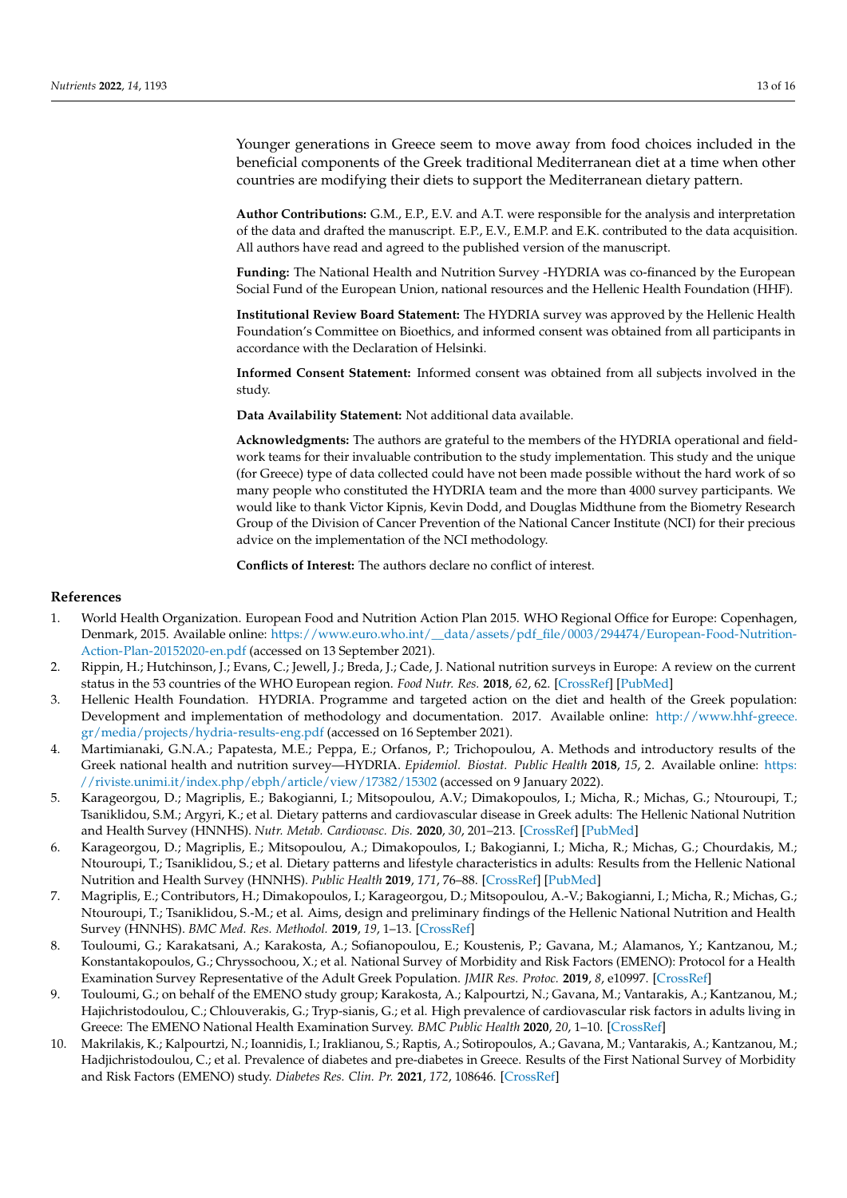Younger generations in Greece seem to move away from food choices included in the beneficial components of the Greek traditional Mediterranean diet at a time when other countries are modifying their diets to support the Mediterranean dietary pattern.

**Author Contributions:** G.M., E.P., E.V. and A.T. were responsible for the analysis and interpretation of the data and drafted the manuscript. E.P., E.V., E.M.P. and E.K. contributed to the data acquisition. All authors have read and agreed to the published version of the manuscript.

**Funding:** The National Health and Nutrition Survey -HYDRIA was co-financed by the European Social Fund of the European Union, national resources and the Hellenic Health Foundation (HHF).

**Institutional Review Board Statement:** The HYDRIA survey was approved by the Hellenic Health Foundation's Committee on Bioethics, and informed consent was obtained from all participants in accordance with the Declaration of Helsinki.

**Informed Consent Statement:** Informed consent was obtained from all subjects involved in the study.

**Data Availability Statement:** Not additional data available.

**Acknowledgments:** The authors are grateful to the members of the HYDRIA operational and fieldwork teams for their invaluable contribution to the study implementation. This study and the unique (for Greece) type of data collected could have not been made possible without the hard work of so many people who constituted the HYDRIA team and the more than 4000 survey participants. We would like to thank Victor Kipnis, Kevin Dodd, and Douglas Midthune from the Biometry Research Group of the Division of Cancer Prevention of the National Cancer Institute (NCI) for their precious advice on the implementation of the NCI methodology.

**Conflicts of Interest:** The authors declare no conflict of interest.

### **References**

- <span id="page-12-0"></span>1. World Health Organization. European Food and Nutrition Action Plan 2015. WHO Regional Office for Europe: Copenhagen, Denmark, 2015. Available online: [https://www.euro.who.int/\\_\\_data/assets/pdf\\_file/0003/294474/European-Food-Nutrition-](https://www.euro.who.int/__data/assets/pdf_file/0003/294474/European-Food-Nutrition-Action-Plan-20152020-en.pdf)[Action-Plan-20152020-en.pdf](https://www.euro.who.int/__data/assets/pdf_file/0003/294474/European-Food-Nutrition-Action-Plan-20152020-en.pdf) (accessed on 13 September 2021).
- <span id="page-12-1"></span>2. Rippin, H.; Hutchinson, J.; Evans, C.; Jewell, J.; Breda, J.; Cade, J. National nutrition surveys in Europe: A review on the current status in the 53 countries of the WHO European region. *Food Nutr. Res.* **2018**, *62*, 62. [\[CrossRef\]](http://doi.org/10.29219/fnr.v62.1362) [\[PubMed\]](http://www.ncbi.nlm.nih.gov/pubmed/29720930)
- <span id="page-12-2"></span>3. Hellenic Health Foundation. HYDRIA. Programme and targeted action on the diet and health of the Greek population: Development and implementation of methodology and documentation. 2017. Available online: [http://www.hhf-greece.](http://www.hhf-greece.gr/media/projects/hydria-results-eng.pdf) [gr/media/projects/hydria-results-eng.pdf](http://www.hhf-greece.gr/media/projects/hydria-results-eng.pdf) (accessed on 16 September 2021).
- <span id="page-12-3"></span>4. Martimianaki, G.N.A.; Papatesta, M.E.; Peppa, E.; Orfanos, P.; Trichopoulou, A. Methods and introductory results of the Greek national health and nutrition survey—HYDRIA. *Epidemiol. Biostat. Public Health* **2018**, *15*, 2. Available online: [https:](https://riviste.unimi.it/index.php/ebph/article/view/17382/15302) [//riviste.unimi.it/index.php/ebph/article/view/17382/15302](https://riviste.unimi.it/index.php/ebph/article/view/17382/15302) (accessed on 9 January 2022).
- <span id="page-12-4"></span>5. Karageorgou, D.; Magriplis, E.; Bakogianni, I.; Mitsopoulou, A.V.; Dimakopoulos, I.; Micha, R.; Michas, G.; Ntouroupi, T.; Tsaniklidou, S.M.; Argyri, K.; et al. Dietary patterns and cardiovascular disease in Greek adults: The Hellenic National Nutrition and Health Survey (HNNHS). *Nutr. Metab. Cardiovasc. Dis.* **2020**, *30*, 201–213. [\[CrossRef\]](http://doi.org/10.1016/j.numecd.2019.09.024) [\[PubMed\]](http://www.ncbi.nlm.nih.gov/pubmed/31761547)
- <span id="page-12-8"></span>6. Karageorgou, D.; Magriplis, E.; Mitsopoulou, A.; Dimakopoulos, I.; Bakogianni, I.; Micha, R.; Michas, G.; Chourdakis, M.; Ntouroupi, T.; Tsaniklidou, S.; et al. Dietary patterns and lifestyle characteristics in adults: Results from the Hellenic National Nutrition and Health Survey (HNNHS). *Public Health* **2019**, *171*, 76–88. [\[CrossRef\]](http://doi.org/10.1016/j.puhe.2019.03.013) [\[PubMed\]](http://www.ncbi.nlm.nih.gov/pubmed/31112835)
- <span id="page-12-5"></span>7. Magriplis, E.; Contributors, H.; Dimakopoulos, I.; Karageorgou, D.; Mitsopoulou, A.-V.; Bakogianni, I.; Micha, R.; Michas, G.; Ntouroupi, T.; Tsaniklidou, S.-M.; et al. Aims, design and preliminary findings of the Hellenic National Nutrition and Health Survey (HNNHS). *BMC Med. Res. Methodol.* **2019**, *19*, 1–13. [\[CrossRef\]](http://doi.org/10.1186/s12874-018-0655-y)
- <span id="page-12-6"></span>8. Touloumi, G.; Karakatsani, A.; Karakosta, A.; Sofianopoulou, E.; Koustenis, P.; Gavana, M.; Alamanos, Y.; Kantzanou, M.; Konstantakopoulos, G.; Chryssochoou, X.; et al. National Survey of Morbidity and Risk Factors (EMENO): Protocol for a Health Examination Survey Representative of the Adult Greek Population. *JMIR Res. Protoc.* **2019**, *8*, e10997. [\[CrossRef\]](http://doi.org/10.2196/10997)
- <span id="page-12-7"></span>9. Touloumi, G.; on behalf of the EMENO study group; Karakosta, A.; Kalpourtzi, N.; Gavana, M.; Vantarakis, A.; Kantzanou, M.; Hajichristodoulou, C.; Chlouverakis, G.; Tryp-sianis, G.; et al. High prevalence of cardiovascular risk factors in adults living in Greece: The EMENO National Health Examination Survey. *BMC Public Health* **2020**, *20*, 1–10. [\[CrossRef\]](http://doi.org/10.1186/s12889-020-09757-4)
- <span id="page-12-9"></span>10. Makrilakis, K.; Kalpourtzi, N.; Ioannidis, I.; Iraklianou, S.; Raptis, A.; Sotiropoulos, A.; Gavana, M.; Vantarakis, A.; Kantzanou, M.; Hadjichristodoulou, C.; et al. Prevalence of diabetes and pre-diabetes in Greece. Results of the First National Survey of Morbidity and Risk Factors (EMENO) study. *Diabetes Res. Clin. Pr.* **2021**, *172*, 108646. [\[CrossRef\]](http://doi.org/10.1016/j.diabres.2020.108646)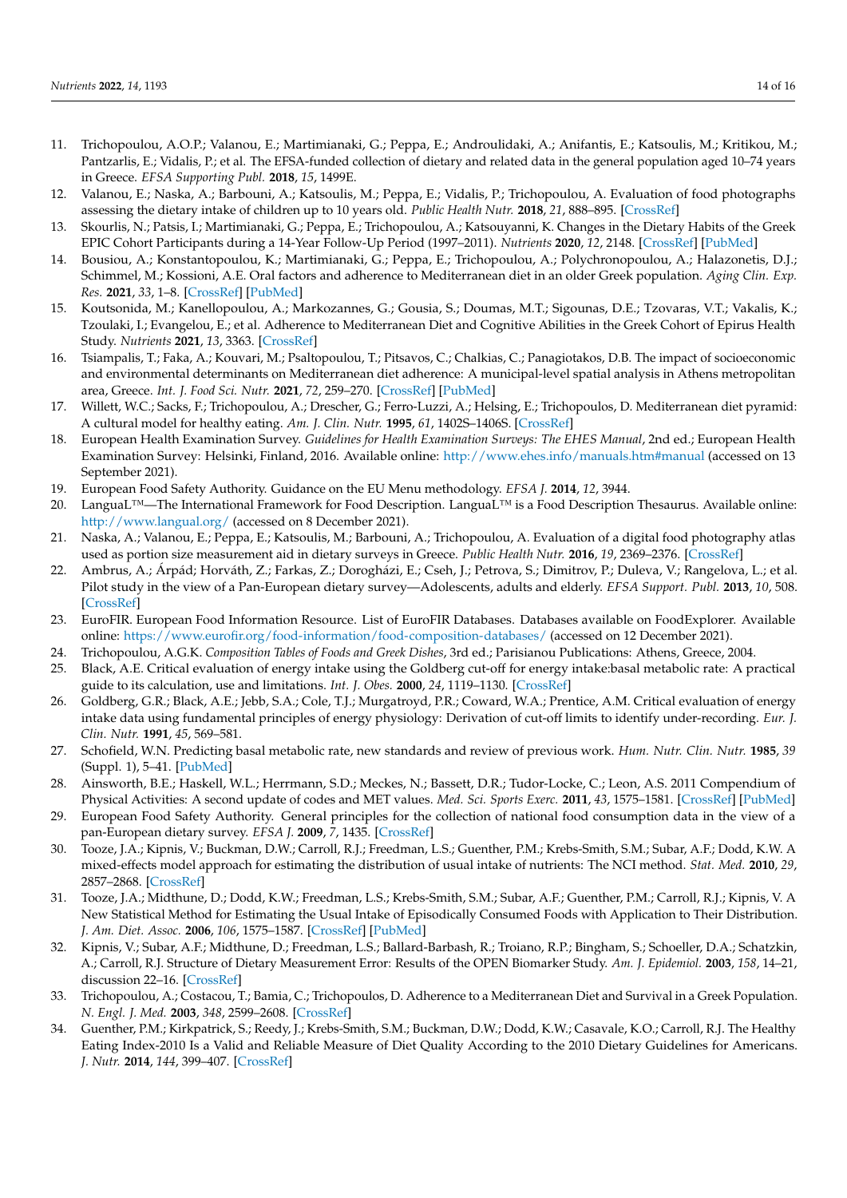- <span id="page-13-0"></span>11. Trichopoulou, A.O.P.; Valanou, E.; Martimianaki, G.; Peppa, E.; Androulidaki, A.; Anifantis, E.; Katsoulis, M.; Kritikou, M.; Pantzarlis, E.; Vidalis, P.; et al. The EFSA-funded collection of dietary and related data in the general population aged 10–74 years in Greece. *EFSA Supporting Publ.* **2018**, *15*, 1499E.
- <span id="page-13-1"></span>12. Valanou, E.; Naska, A.; Barbouni, A.; Katsoulis, M.; Peppa, E.; Vidalis, P.; Trichopoulou, A. Evaluation of food photographs assessing the dietary intake of children up to 10 years old. *Public Health Nutr.* **2018**, *21*, 888–895. [\[CrossRef\]](http://doi.org/10.1017/S1368980017003354)
- <span id="page-13-2"></span>13. Skourlis, N.; Patsis, I.; Martimianaki, G.; Peppa, E.; Trichopoulou, A.; Katsouyanni, K. Changes in the Dietary Habits of the Greek EPIC Cohort Participants during a 14-Year Follow-Up Period (1997–2011). *Nutrients* **2020**, *12*, 2148. [\[CrossRef\]](http://doi.org/10.3390/nu12072148) [\[PubMed\]](http://www.ncbi.nlm.nih.gov/pubmed/32707693)
- <span id="page-13-3"></span>14. Bousiou, A.; Konstantopoulou, K.; Martimianaki, G.; Peppa, E.; Trichopoulou, A.; Polychronopoulou, A.; Halazonetis, D.J.; Schimmel, M.; Kossioni, A.E. Oral factors and adherence to Mediterranean diet in an older Greek population. *Aging Clin. Exp. Res.* **2021**, *33*, 1–8. [\[CrossRef\]](http://doi.org/10.1007/s40520-021-01861-8) [\[PubMed\]](http://www.ncbi.nlm.nih.gov/pubmed/33893988)
- 15. Koutsonida, M.; Kanellopoulou, A.; Markozannes, G.; Gousia, S.; Doumas, M.T.; Sigounas, D.E.; Tzovaras, V.T.; Vakalis, K.; Tzoulaki, I.; Evangelou, E.; et al. Adherence to Mediterranean Diet and Cognitive Abilities in the Greek Cohort of Epirus Health Study. *Nutrients* **2021**, *13*, 3363. [\[CrossRef\]](http://doi.org/10.3390/nu13103363)
- <span id="page-13-4"></span>16. Tsiampalis, T.; Faka, A.; Kouvari, M.; Psaltopoulou, T.; Pitsavos, C.; Chalkias, C.; Panagiotakos, D.B. The impact of socioeconomic and environmental determinants on Mediterranean diet adherence: A municipal-level spatial analysis in Athens metropolitan area, Greece. *Int. J. Food Sci. Nutr.* **2021**, *72*, 259–270. [\[CrossRef\]](http://doi.org/10.1080/09637486.2020.1791057) [\[PubMed\]](http://www.ncbi.nlm.nih.gov/pubmed/32657627)
- <span id="page-13-5"></span>17. Willett, W.C.; Sacks, F.; Trichopoulou, A.; Drescher, G.; Ferro-Luzzi, A.; Helsing, E.; Trichopoulos, D. Mediterranean diet pyramid: A cultural model for healthy eating. *Am. J. Clin. Nutr.* **1995**, *61*, 1402S–1406S. [\[CrossRef\]](http://doi.org/10.1093/ajcn/61.6.1402S)
- <span id="page-13-6"></span>18. European Health Examination Survey. *Guidelines for Health Examination Surveys: The EHES Manual*, 2nd ed.; European Health Examination Survey: Helsinki, Finland, 2016. Available online: <http://www.ehes.info/manuals.htm#manual> (accessed on 13 September 2021).
- <span id="page-13-7"></span>19. European Food Safety Authority. Guidance on the EU Menu methodology. *EFSA J.* **2014**, *12*, 3944.
- <span id="page-13-8"></span>20. LanguaL™—The International Framework for Food Description. LanguaL™ is a Food Description Thesaurus. Available online: <http://www.langual.org/> (accessed on 8 December 2021).
- <span id="page-13-9"></span>21. Naska, A.; Valanou, E.; Peppa, E.; Katsoulis, M.; Barbouni, A.; Trichopoulou, A. Evaluation of a digital food photography atlas used as portion size measurement aid in dietary surveys in Greece. *Public Health Nutr.* **2016**, *19*, 2369–2376. [\[CrossRef\]](http://doi.org/10.1017/S1368980016000227)
- <span id="page-13-10"></span>22. Ambrus, A.; Árpád; Horváth, Z.; Farkas, Z.; Dorogházi, E.; Cseh, J.; Petrova, S.; Dimitrov, P.; Duleva, V.; Rangelova, L.; et al. Pilot study in the view of a Pan-European dietary survey—Adolescents, adults and elderly. *EFSA Support. Publ.* **2013**, *10*, 508. [\[CrossRef\]](http://doi.org/10.2903/sp.efsa.2013.EN-508)
- <span id="page-13-11"></span>23. EuroFIR. European Food Information Resource. List of EuroFIR Databases. Databases available on FoodExplorer. Available online: <https://www.eurofir.org/food-information/food-composition-databases/> (accessed on 12 December 2021).
- <span id="page-13-12"></span>24. Trichopoulou, A.G.K. *Composition Tables of Foods and Greek Dishes*, 3rd ed.; Parisianou Publications: Athens, Greece, 2004.
- <span id="page-13-13"></span>25. Black, A.E. Critical evaluation of energy intake using the Goldberg cut-off for energy intake:basal metabolic rate: A practical guide to its calculation, use and limitations. *Int. J. Obes.* **2000**, *24*, 1119–1130. [\[CrossRef\]](http://doi.org/10.1038/sj.ijo.0801376)
- 26. Goldberg, G.R.; Black, A.E.; Jebb, S.A.; Cole, T.J.; Murgatroyd, P.R.; Coward, W.A.; Prentice, A.M. Critical evaluation of energy intake data using fundamental principles of energy physiology: Derivation of cut-off limits to identify under-recording. *Eur. J. Clin. Nutr.* **1991**, *45*, 569–581.
- <span id="page-13-14"></span>27. Schofield, W.N. Predicting basal metabolic rate, new standards and review of previous work. *Hum. Nutr. Clin. Nutr.* **1985**, *39* (Suppl. 1), 5–41. [\[PubMed\]](http://www.ncbi.nlm.nih.gov/pubmed/4044297)
- <span id="page-13-15"></span>28. Ainsworth, B.E.; Haskell, W.L.; Herrmann, S.D.; Meckes, N.; Bassett, D.R.; Tudor-Locke, C.; Leon, A.S. 2011 Compendium of Physical Activities: A second update of codes and MET values. *Med. Sci. Sports Exerc.* **2011**, *43*, 1575–1581. [\[CrossRef\]](http://doi.org/10.1249/MSS.0b013e31821ece12) [\[PubMed\]](http://www.ncbi.nlm.nih.gov/pubmed/21681120)
- <span id="page-13-16"></span>29. European Food Safety Authority. General principles for the collection of national food consumption data in the view of a pan-European dietary survey. *EFSA J.* **2009**, *7*, 1435. [\[CrossRef\]](http://doi.org/10.2903/j.efsa.2009.1435)
- <span id="page-13-17"></span>30. Tooze, J.A.; Kipnis, V.; Buckman, D.W.; Carroll, R.J.; Freedman, L.S.; Guenther, P.M.; Krebs-Smith, S.M.; Subar, A.F.; Dodd, K.W. A mixed-effects model approach for estimating the distribution of usual intake of nutrients: The NCI method. *Stat. Med.* **2010**, *29*, 2857–2868. [\[CrossRef\]](http://doi.org/10.1002/sim.4063)
- 31. Tooze, J.A.; Midthune, D.; Dodd, K.W.; Freedman, L.S.; Krebs-Smith, S.M.; Subar, A.F.; Guenther, P.M.; Carroll, R.J.; Kipnis, V. A New Statistical Method for Estimating the Usual Intake of Episodically Consumed Foods with Application to Their Distribution. *J. Am. Diet. Assoc.* **2006**, *106*, 1575–1587. [\[CrossRef\]](http://doi.org/10.1016/j.jada.2006.07.003) [\[PubMed\]](http://www.ncbi.nlm.nih.gov/pubmed/17000190)
- <span id="page-13-18"></span>32. Kipnis, V.; Subar, A.F.; Midthune, D.; Freedman, L.S.; Ballard-Barbash, R.; Troiano, R.P.; Bingham, S.; Schoeller, D.A.; Schatzkin, A.; Carroll, R.J. Structure of Dietary Measurement Error: Results of the OPEN Biomarker Study. *Am. J. Epidemiol.* **2003**, *158*, 14–21, discussion 22–16. [\[CrossRef\]](http://doi.org/10.1093/aje/kwg091)
- <span id="page-13-19"></span>33. Trichopoulou, A.; Costacou, T.; Bamia, C.; Trichopoulos, D. Adherence to a Mediterranean Diet and Survival in a Greek Population. *N. Engl. J. Med.* **2003**, *348*, 2599–2608. [\[CrossRef\]](http://doi.org/10.1056/NEJMoa025039)
- <span id="page-13-20"></span>34. Guenther, P.M.; Kirkpatrick, S.; Reedy, J.; Krebs-Smith, S.M.; Buckman, D.W.; Dodd, K.W.; Casavale, K.O.; Carroll, R.J. The Healthy Eating Index-2010 Is a Valid and Reliable Measure of Diet Quality According to the 2010 Dietary Guidelines for Americans. *J. Nutr.* **2014**, *144*, 399–407. [\[CrossRef\]](http://doi.org/10.3945/jn.113.183079)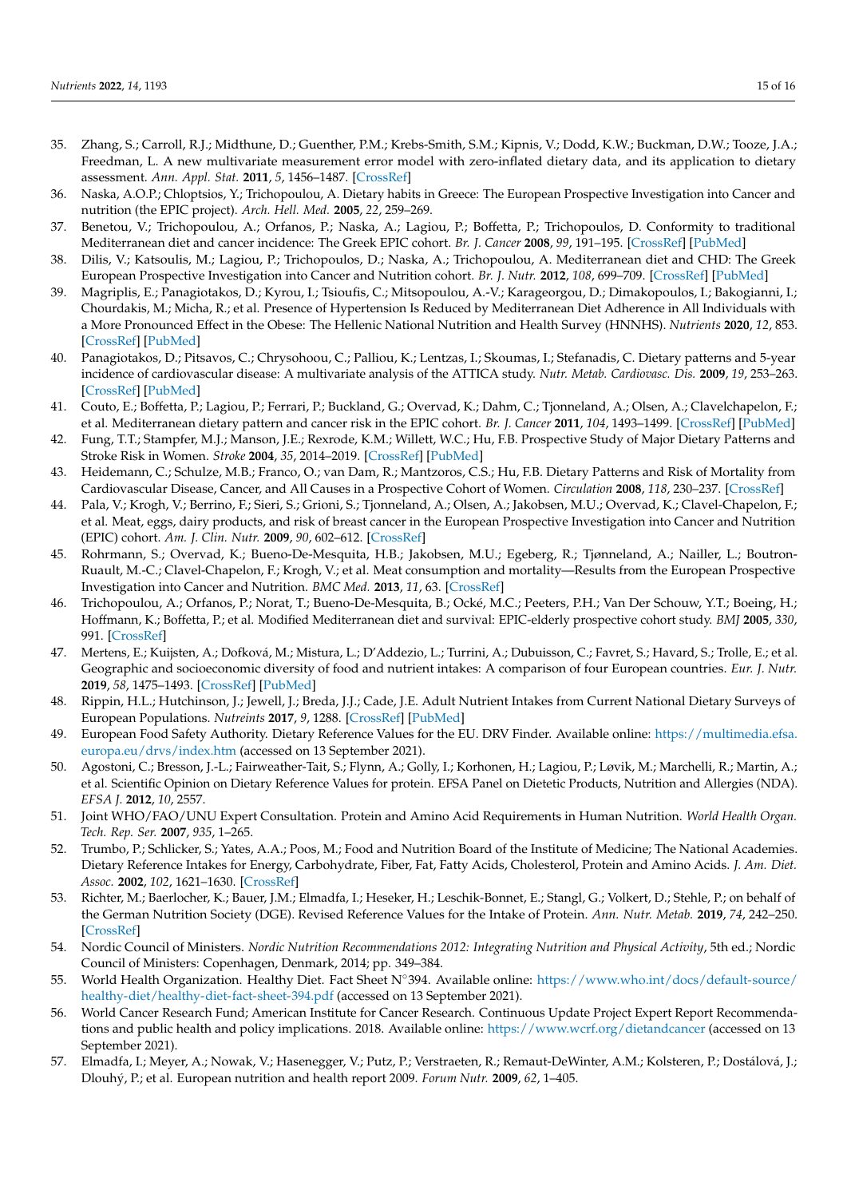- <span id="page-14-0"></span>35. Zhang, S.; Carroll, R.J.; Midthune, D.; Guenther, P.M.; Krebs-Smith, S.M.; Kipnis, V.; Dodd, K.W.; Buckman, D.W.; Tooze, J.A.; Freedman, L. A new multivariate measurement error model with zero-inflated dietary data, and its application to dietary assessment. *Ann. Appl. Stat.* **2011**, *5*, 1456–1487. [\[CrossRef\]](http://doi.org/10.1214/10-AOAS446)
- <span id="page-14-1"></span>36. Naska, A.O.P.; Chloptsios, Y.; Trichopoulou, A. Dietary habits in Greece: The European Prospective Investigation into Cancer and nutrition (the EPIC project). *Arch. Hell. Med.* **2005**, *22*, 259–269.
- <span id="page-14-2"></span>37. Benetou, V.; Trichopoulou, A.; Orfanos, P.; Naska, A.; Lagiou, P.; Boffetta, P.; Trichopoulos, D. Conformity to traditional Mediterranean diet and cancer incidence: The Greek EPIC cohort. *Br. J. Cancer* **2008**, *99*, 191–195. [\[CrossRef\]](http://doi.org/10.1038/sj.bjc.6604418) [\[PubMed\]](http://www.ncbi.nlm.nih.gov/pubmed/18594542)
- 38. Dilis, V.; Katsoulis, M.; Lagiou, P.; Trichopoulos, D.; Naska, A.; Trichopoulou, A. Mediterranean diet and CHD: The Greek European Prospective Investigation into Cancer and Nutrition cohort. *Br. J. Nutr.* **2012**, *108*, 699–709. [\[CrossRef\]](http://doi.org/10.1017/S0007114512001821) [\[PubMed\]](http://www.ncbi.nlm.nih.gov/pubmed/22894912)
- 39. Magriplis, E.; Panagiotakos, D.; Kyrou, I.; Tsioufis, C.; Mitsopoulou, A.-V.; Karageorgou, D.; Dimakopoulos, I.; Bakogianni, I.; Chourdakis, M.; Micha, R.; et al. Presence of Hypertension Is Reduced by Mediterranean Diet Adherence in All Individuals with a More Pronounced Effect in the Obese: The Hellenic National Nutrition and Health Survey (HNNHS). *Nutrients* **2020**, *12*, 853. [\[CrossRef\]](http://doi.org/10.3390/nu12030853) [\[PubMed\]](http://www.ncbi.nlm.nih.gov/pubmed/32209978)
- <span id="page-14-3"></span>40. Panagiotakos, D.; Pitsavos, C.; Chrysohoou, C.; Palliou, K.; Lentzas, I.; Skoumas, I.; Stefanadis, C. Dietary patterns and 5-year incidence of cardiovascular disease: A multivariate analysis of the ATTICA study. *Nutr. Metab. Cardiovasc. Dis.* **2009**, *19*, 253–263. [\[CrossRef\]](http://doi.org/10.1016/j.numecd.2008.06.005) [\[PubMed\]](http://www.ncbi.nlm.nih.gov/pubmed/18722096)
- <span id="page-14-4"></span>41. Couto, E.; Boffetta, P.; Lagiou, P.; Ferrari, P.; Buckland, G.; Overvad, K.; Dahm, C.; Tjonneland, A.; Olsen, A.; Clavelchapelon, F.; et al. Mediterranean dietary pattern and cancer risk in the EPIC cohort. *Br. J. Cancer* **2011**, *104*, 1493–1499. [\[CrossRef\]](http://doi.org/10.1038/bjc.2011.106) [\[PubMed\]](http://www.ncbi.nlm.nih.gov/pubmed/21468044)
- 42. Fung, T.T.; Stampfer, M.J.; Manson, J.E.; Rexrode, K.M.; Willett, W.C.; Hu, F.B. Prospective Study of Major Dietary Patterns and Stroke Risk in Women. *Stroke* **2004**, *35*, 2014–2019. [\[CrossRef\]](http://doi.org/10.1161/01.STR.0000135762.89154.92) [\[PubMed\]](http://www.ncbi.nlm.nih.gov/pubmed/15232120)
- 43. Heidemann, C.; Schulze, M.B.; Franco, O.; van Dam, R.; Mantzoros, C.S.; Hu, F.B. Dietary Patterns and Risk of Mortality from Cardiovascular Disease, Cancer, and All Causes in a Prospective Cohort of Women. *Circulation* **2008**, *118*, 230–237. [\[CrossRef\]](http://doi.org/10.1161/CIRCULATIONAHA.108.771881)
- 44. Pala, V.; Krogh, V.; Berrino, F.; Sieri, S.; Grioni, S.; Tjonneland, A.; Olsen, A.; Jakobsen, M.U.; Overvad, K.; Clavel-Chapelon, F.; et al. Meat, eggs, dairy products, and risk of breast cancer in the European Prospective Investigation into Cancer and Nutrition (EPIC) cohort. *Am. J. Clin. Nutr.* **2009**, *90*, 602–612. [\[CrossRef\]](http://doi.org/10.3945/ajcn.2008.27173)
- <span id="page-14-11"></span>45. Rohrmann, S.; Overvad, K.; Bueno-De-Mesquita, H.B.; Jakobsen, M.U.; Egeberg, R.; Tjønneland, A.; Nailler, L.; Boutron-Ruault, M.-C.; Clavel-Chapelon, F.; Krogh, V.; et al. Meat consumption and mortality—Results from the European Prospective Investigation into Cancer and Nutrition. *BMC Med.* **2013**, *11*, 63. [\[CrossRef\]](http://doi.org/10.1186/1741-7015-11-63)
- <span id="page-14-5"></span>46. Trichopoulou, A.; Orfanos, P.; Norat, T.; Bueno-De-Mesquita, B.; Ocké, M.C.; Peeters, P.H.; Van Der Schouw, Y.T.; Boeing, H.; Hoffmann, K.; Boffetta, P.; et al. Modified Mediterranean diet and survival: EPIC-elderly prospective cohort study. *BMJ* **2005**, *330*, 991. [\[CrossRef\]](http://doi.org/10.1136/bmj.38415.644155.8F)
- <span id="page-14-6"></span>47. Mertens, E.; Kuijsten, A.; Dofková, M.; Mistura, L.; D'Addezio, L.; Turrini, A.; Dubuisson, C.; Favret, S.; Havard, S.; Trolle, E.; et al. Geographic and socioeconomic diversity of food and nutrient intakes: A comparison of four European countries. *Eur. J. Nutr.* **2019**, *58*, 1475–1493. [\[CrossRef\]](http://doi.org/10.1007/s00394-018-1673-6) [\[PubMed\]](http://www.ncbi.nlm.nih.gov/pubmed/29594476)
- <span id="page-14-7"></span>48. Rippin, H.L.; Hutchinson, J.; Jewell, J.; Breda, J.J.; Cade, J.E. Adult Nutrient Intakes from Current National Dietary Surveys of European Populations. *Nutreints* **2017**, *9*, 1288. [\[CrossRef\]](http://doi.org/10.3390/nu9121288) [\[PubMed\]](http://www.ncbi.nlm.nih.gov/pubmed/29186935)
- <span id="page-14-8"></span>49. European Food Safety Authority. Dietary Reference Values for the EU. DRV Finder. Available online: [https://multimedia.efsa.](https://multimedia.efsa.europa.eu/drvs/index.htm) [europa.eu/drvs/index.htm](https://multimedia.efsa.europa.eu/drvs/index.htm) (accessed on 13 September 2021).
- <span id="page-14-9"></span>50. Agostoni, C.; Bresson, J.-L.; Fairweather-Tait, S.; Flynn, A.; Golly, I.; Korhonen, H.; Lagiou, P.; Løvik, M.; Marchelli, R.; Martin, A.; et al. Scientific Opinion on Dietary Reference Values for protein. EFSA Panel on Dietetic Products, Nutrition and Allergies (NDA). *EFSA J.* **2012**, *10*, 2557.
- 51. Joint WHO/FAO/UNU Expert Consultation. Protein and Amino Acid Requirements in Human Nutrition. *World Health Organ. Tech. Rep. Ser.* **2007**, *935*, 1–265.
- 52. Trumbo, P.; Schlicker, S.; Yates, A.A.; Poos, M.; Food and Nutrition Board of the Institute of Medicine; The National Academies. Dietary Reference Intakes for Energy, Carbohydrate, Fiber, Fat, Fatty Acids, Cholesterol, Protein and Amino Acids. *J. Am. Diet. Assoc.* **2002**, *102*, 1621–1630. [\[CrossRef\]](http://doi.org/10.1016/S0002-8223(02)90346-9)
- 53. Richter, M.; Baerlocher, K.; Bauer, J.M.; Elmadfa, I.; Heseker, H.; Leschik-Bonnet, E.; Stangl, G.; Volkert, D.; Stehle, P.; on behalf of the German Nutrition Society (DGE). Revised Reference Values for the Intake of Protein. *Ann. Nutr. Metab.* **2019**, *74*, 242–250. [\[CrossRef\]](http://doi.org/10.1159/000499374)
- <span id="page-14-10"></span>54. Nordic Council of Ministers. *Nordic Nutrition Recommendations 2012: Integrating Nutrition and Physical Activity*, 5th ed.; Nordic Council of Ministers: Copenhagen, Denmark, 2014; pp. 349–384.
- <span id="page-14-12"></span>55. World Health Organization. Healthy Diet. Fact Sheet N◦394. Available online: [https://www.who.int/docs/default-source/](https://www.who.int/docs/default-source/healthy-diet/healthy-diet-fact-sheet-394.pdf) [healthy-diet/healthy-diet-fact-sheet-394.pdf](https://www.who.int/docs/default-source/healthy-diet/healthy-diet-fact-sheet-394.pdf) (accessed on 13 September 2021).
- <span id="page-14-13"></span>56. World Cancer Research Fund; American Institute for Cancer Research. Continuous Update Project Expert Report Recommendations and public health and policy implications. 2018. Available online: <https://www.wcrf.org/dietandcancer> (accessed on 13 September 2021).
- <span id="page-14-14"></span>57. Elmadfa, I.; Meyer, A.; Nowak, V.; Hasenegger, V.; Putz, P.; Verstraeten, R.; Remaut-DeWinter, A.M.; Kolsteren, P.; Dostálová, J.; Dlouhý, P.; et al. European nutrition and health report 2009. *Forum Nutr.* **2009**, *62*, 1–405.